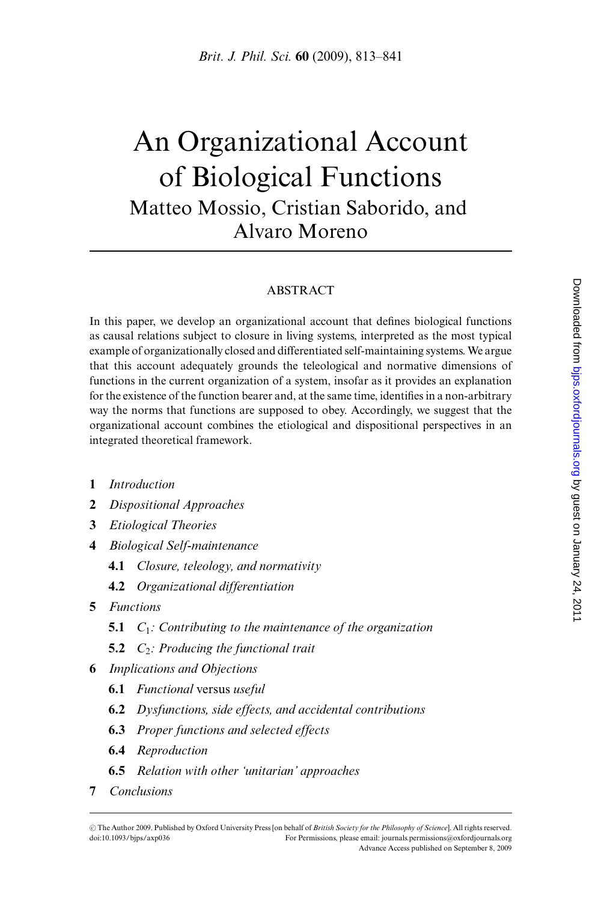# An Organizational Account of Biological Functions Matteo Mossio, Cristian Saborido, and Alvaro Moreno

## ABSTRACT

In this paper, we develop an organizational account that defines biological functions as causal relations subject to closure in living systems, interpreted as the most typical example of organizationally closed and differentiated self-maintaining systems. We argue that this account adequately grounds the teleological and normative dimensions of functions in the current organization of a system, insofar as it provides an explanation for the existence of the function bearer and, at the same time, identifies in a non-arbitrary way the norms that functions are supposed to obey. Accordingly, we suggest that the organizational account combines the etiological and dispositional perspectives in an integrated theoretical framework.

- **1** *Introduction*
- **2** *Dispositional Approaches*
- **3** *Etiological Theories*
- **4** *Biological Self-maintenance*
	- **4.1** *Closure, teleology, and normativity*
	- **4.2** *Organizational differentiation*
- **5** *Functions*
	- **5.1** *C*1*: Contributing to the maintenance of the organization*
	- **5.2** *C*2*: Producing the functional trait*
- **6** *Implications and Objections*
	- **6.1** *Functional* versus *useful*
	- **6.2** *Dysfunctions, side effects, and accidental contributions*
	- **6.3** *Proper functions and selected effects*
	- **6.4** *Reproduction*
	- **6.5** *Relation with other 'unitarian' approaches*
- **7** *Conclusions*

<sup>-</sup><sup>C</sup> The Author 2009. Published by Oxford University Press [on behalf of *British Society for the Philosophy of Science*]. All rights reserved. doi:10.1093/bjps/axp036 For Permissions, please email: journals.permissions@oxfordjournals.org Advance Access published on September 8, 2009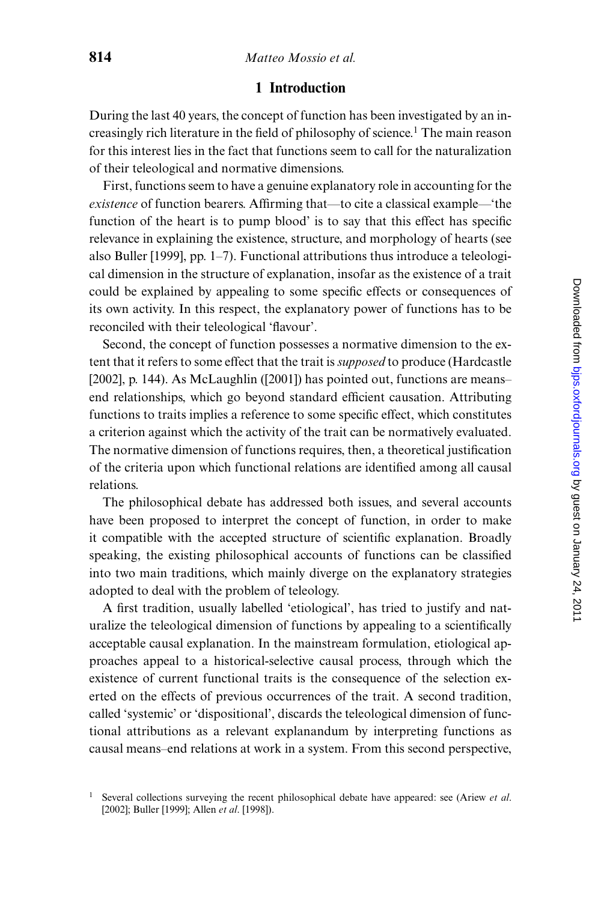#### **1 Introduction**

During the last 40 years, the concept of function has been investigated by an increasingly rich literature in the field of philosophy of science.<sup>1</sup> The main reason for this interest lies in the fact that functions seem to call for the naturalization of their teleological and normative dimensions.

First, functions seem to have a genuine explanatory role in accounting for the *existence* of function bearers. Affirming that—to cite a classical example—'the function of the heart is to pump blood' is to say that this effect has specific relevance in explaining the existence, structure, and morphology of hearts (see also Buller [1999], pp. 1–7). Functional attributions thus introduce a teleological dimension in the structure of explanation, insofar as the existence of a trait could be explained by appealing to some specific effects or consequences of its own activity. In this respect, the explanatory power of functions has to be reconciled with their teleological 'flavour'.

Second, the concept of function possesses a normative dimension to the extent that it refers to some effect that the trait is *supposed* to produce (Hardcastle [2002], p. 144). As McLaughlin ([2001]) has pointed out, functions are means– end relationships, which go beyond standard efficient causation. Attributing functions to traits implies a reference to some specific effect, which constitutes a criterion against which the activity of the trait can be normatively evaluated. The normative dimension of functions requires, then, a theoretical justification of the criteria upon which functional relations are identified among all causal relations.

The philosophical debate has addressed both issues, and several accounts have been proposed to interpret the concept of function, in order to make it compatible with the accepted structure of scientific explanation. Broadly speaking, the existing philosophical accounts of functions can be classified into two main traditions, which mainly diverge on the explanatory strategies adopted to deal with the problem of teleology.

A first tradition, usually labelled 'etiological', has tried to justify and naturalize the teleological dimension of functions by appealing to a scientifically acceptable causal explanation. In the mainstream formulation, etiological approaches appeal to a historical-selective causal process, through which the existence of current functional traits is the consequence of the selection exerted on the effects of previous occurrences of the trait. A second tradition, called 'systemic' or 'dispositional', discards the teleological dimension of functional attributions as a relevant explanandum by interpreting functions as causal means–end relations at work in a system. From this second perspective,

<sup>1</sup> Several collections surveying the recent philosophical debate have appeared: see (Ariew *et al*. [2002]; Buller [1999]; Allen *et al*. [1998]).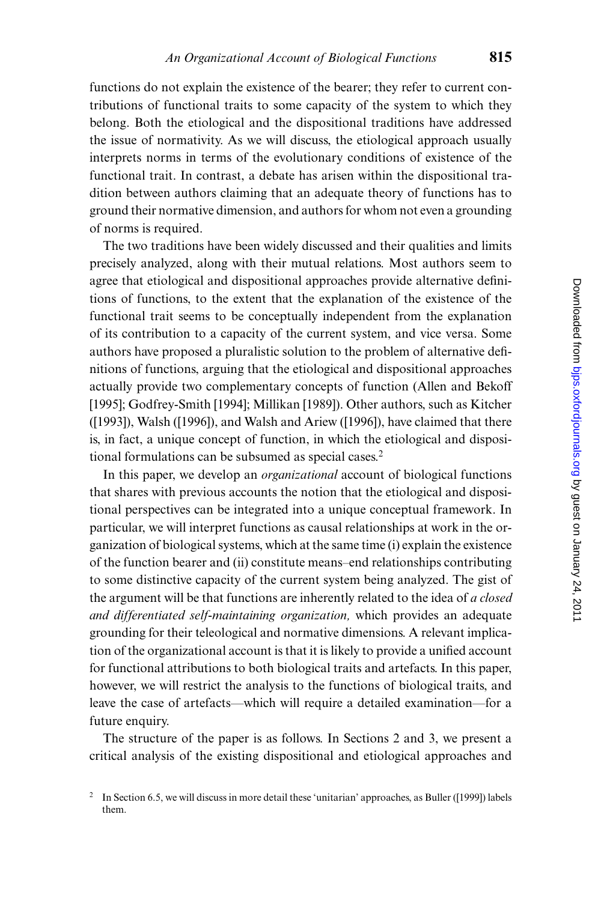functions do not explain the existence of the bearer; they refer to current contributions of functional traits to some capacity of the system to which they belong. Both the etiological and the dispositional traditions have addressed the issue of normativity. As we will discuss, the etiological approach usually interprets norms in terms of the evolutionary conditions of existence of the functional trait. In contrast, a debate has arisen within the dispositional tradition between authors claiming that an adequate theory of functions has to ground their normative dimension, and authors for whom not even a grounding of norms is required.

The two traditions have been widely discussed and their qualities and limits precisely analyzed, along with their mutual relations. Most authors seem to agree that etiological and dispositional approaches provide alternative definitions of functions, to the extent that the explanation of the existence of the functional trait seems to be conceptually independent from the explanation of its contribution to a capacity of the current system, and vice versa. Some authors have proposed a pluralistic solution to the problem of alternative definitions of functions, arguing that the etiological and dispositional approaches actually provide two complementary concepts of function (Allen and Bekoff [1995]; Godfrey-Smith [1994]; Millikan [1989]). Other authors, such as Kitcher ([1993]), Walsh ([1996]), and Walsh and Ariew ([1996]), have claimed that there is, in fact, a unique concept of function, in which the etiological and dispositional formulations can be subsumed as special cases.<sup>2</sup>

In this paper, we develop an *organizational* account of biological functions that shares with previous accounts the notion that the etiological and dispositional perspectives can be integrated into a unique conceptual framework. In particular, we will interpret functions as causal relationships at work in the organization of biological systems, which at the same time (i) explain the existence of the function bearer and (ii) constitute means–end relationships contributing to some distinctive capacity of the current system being analyzed. The gist of the argument will be that functions are inherently related to the idea of *a closed and differentiated self-maintaining organization,* which provides an adequate grounding for their teleological and normative dimensions. A relevant implication of the organizational account is that it is likely to provide a unified account for functional attributions to both biological traits and artefacts. In this paper, however, we will restrict the analysis to the functions of biological traits, and leave the case of artefacts—which will require a detailed examination—for a future enquiry.

The structure of the paper is as follows. In Sections 2 and 3, we present a critical analysis of the existing dispositional and etiological approaches and

<sup>2</sup> In Section 6.5, we will discuss in more detail these 'unitarian' approaches, as Buller ([1999]) labels them.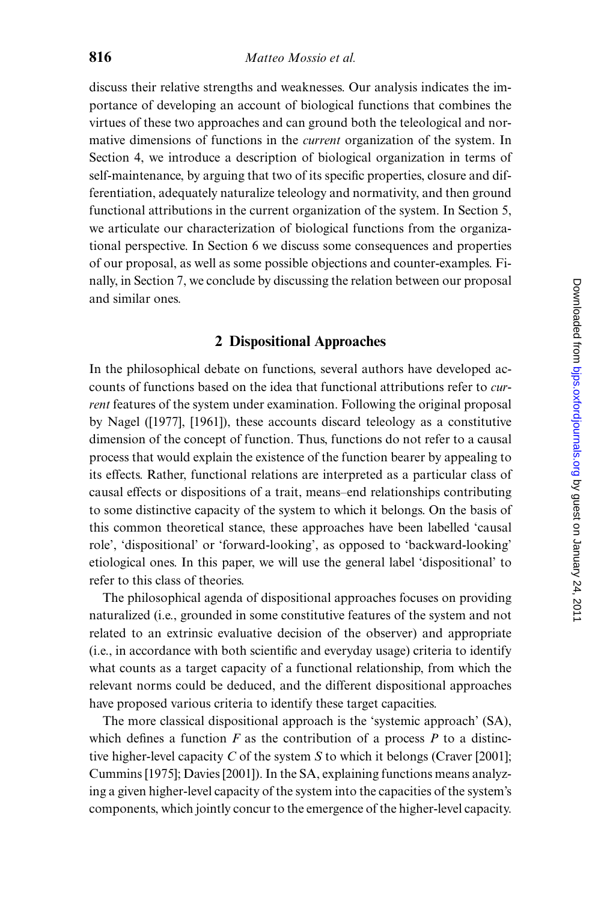discuss their relative strengths and weaknesses. Our analysis indicates the importance of developing an account of biological functions that combines the virtues of these two approaches and can ground both the teleological and normative dimensions of functions in the *current* organization of the system. In Section 4, we introduce a description of biological organization in terms of self-maintenance, by arguing that two of its specific properties, closure and differentiation, adequately naturalize teleology and normativity, and then ground functional attributions in the current organization of the system. In Section 5, we articulate our characterization of biological functions from the organizational perspective. In Section 6 we discuss some consequences and properties of our proposal, as well as some possible objections and counter-examples. Finally, in Section 7, we conclude by discussing the relation between our proposal and similar ones.

## **2 Dispositional Approaches**

In the philosophical debate on functions, several authors have developed accounts of functions based on the idea that functional attributions refer to *current* features of the system under examination. Following the original proposal by Nagel ([1977], [1961]), these accounts discard teleology as a constitutive dimension of the concept of function. Thus, functions do not refer to a causal process that would explain the existence of the function bearer by appealing to its effects. Rather, functional relations are interpreted as a particular class of causal effects or dispositions of a trait, means–end relationships contributing to some distinctive capacity of the system to which it belongs. On the basis of this common theoretical stance, these approaches have been labelled 'causal role', 'dispositional' or 'forward-looking', as opposed to 'backward-looking' etiological ones. In this paper, we will use the general label 'dispositional' to refer to this class of theories.

The philosophical agenda of dispositional approaches focuses on providing naturalized (i.e., grounded in some constitutive features of the system and not related to an extrinsic evaluative decision of the observer) and appropriate (i.e., in accordance with both scientific and everyday usage) criteria to identify what counts as a target capacity of a functional relationship, from which the relevant norms could be deduced, and the different dispositional approaches have proposed various criteria to identify these target capacities.

The more classical dispositional approach is the 'systemic approach' (SA), which defines a function  $F$  as the contribution of a process  $P$  to a distinctive higher-level capacity *C* of the system *S* to which it belongs (Craver [2001]; Cummins [1975]; Davies [2001]). In the SA, explaining functions means analyzing a given higher-level capacity of the system into the capacities of the system's components, which jointly concur to the emergence of the higher-level capacity.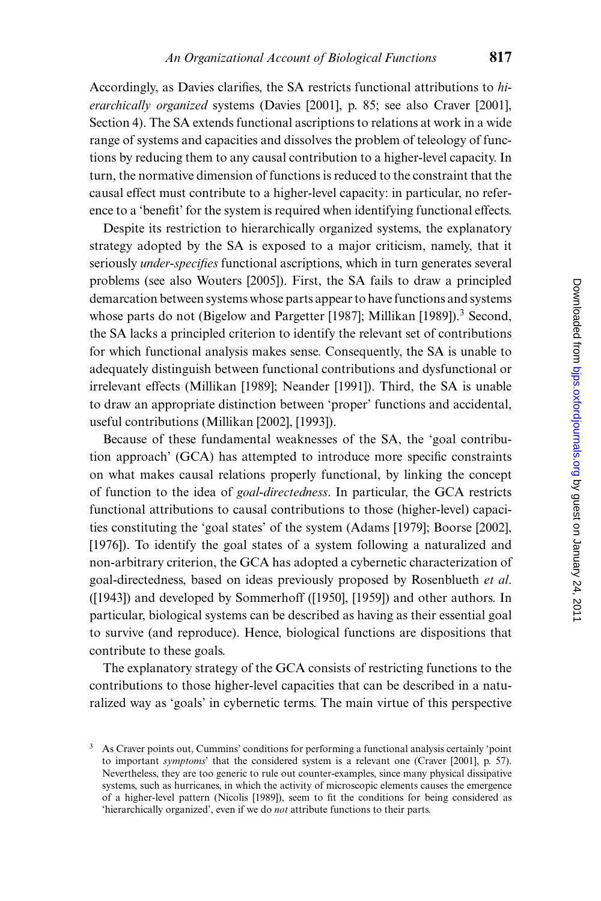Accordingly, as Davies clarifies, the SA restricts functional attributions to *hierarchically organized* systems (Davies [2001], p. 85; see also Craver [2001], Section 4). The SA extends functional ascriptions to relations at work in a wide range of systems and capacities and dissolves the problem of teleology of functions by reducing them to any causal contribution to a higher-level capacity. In turn, the normative dimension of functions is reduced to the constraint that the causal effect must contribute to a higher-level capacity: in particular, no reference to a 'benefit' for the system is required when identifying functional effects.

Despite its restriction to hierarchically organized systems, the explanatory strategy adopted by the SA is exposed to a major criticism, namely, that it seriously *under-specifies* functional ascriptions, which in turn generates several problems (see also Wouters [2005]). First, the SA fails to draw a principled demarcation between systems whose parts appear to have functions and systems whose parts do not (Bigelow and Pargetter [1987]; Millikan [1989]).<sup>3</sup> Second, the SA lacks a principled criterion to identify the relevant set of contributions for which functional analysis makes sense. Consequently, the SA is unable to adequately distinguish between functional contributions and dysfunctional or irrelevant effects (Millikan [1989]; Neander [1991]). Third, the SA is unable to draw an appropriate distinction between 'proper' functions and accidental, useful contributions (Millikan [2002], [1993]).

Because of these fundamental weaknesses of the SA, the 'goal contribution approach' (GCA) has attempted to introduce more specific constraints on what makes causal relations properly functional, by linking the concept of function to the idea of *goal-directedness*. In particular, the GCA restricts functional attributions to causal contributions to those (higher-level) capacities constituting the 'goal states' of the system (Adams [1979]; Boorse [2002], [1976]). To identify the goal states of a system following a naturalized and non-arbitrary criterion, the GCA has adopted a cybernetic characterization of goal-directedness, based on ideas previously proposed by Rosenblueth *et al*. ([1943]) and developed by Sommerhoff ([1950], [1959]) and other authors. In particular, biological systems can be described as having as their essential goal to survive (and reproduce). Hence, biological functions are dispositions that contribute to these goals.

The explanatory strategy of the GCA consists of restricting functions to the contributions to those higher-level capacities that can be described in a naturalized way as 'goals' in cybernetic terms. The main virtue of this perspective

<sup>&</sup>lt;sup>3</sup> As Craver points out, Cummins' conditions for performing a functional analysis certainly 'point to important *symptoms*' that the considered system is a relevant one (Craver [2001], p. 57). Nevertheless, they are too generic to rule out counter-examples, since many physical dissipative systems, such as hurricanes, in which the activity of microscopic elements causes the emergence of a higher-level pattern (Nicolis [1989]), seem to fit the conditions for being considered as 'hierarchically organized', even if we do *not* attribute functions to their parts.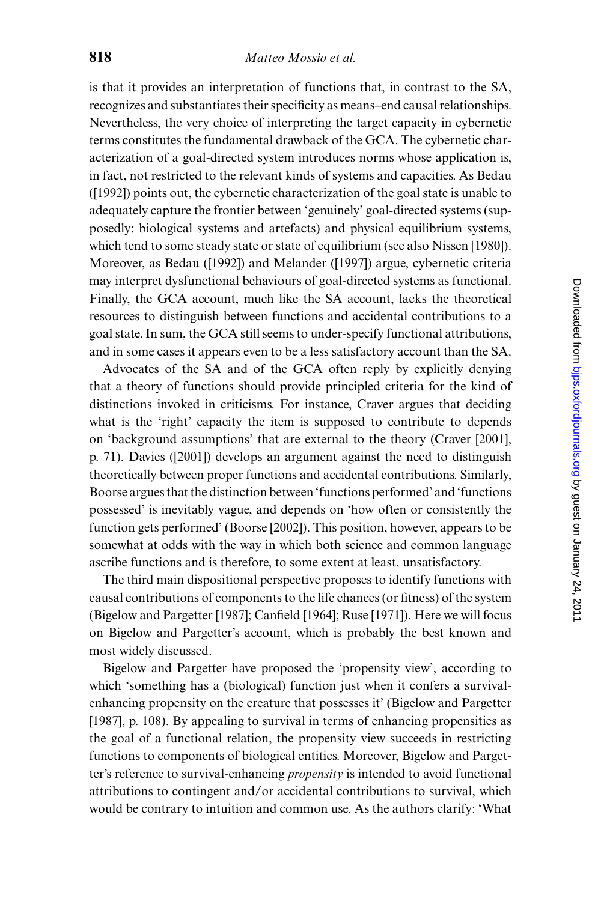is that it provides an interpretation of functions that, in contrast to the SA, recognizes and substantiates their specificity as means–end causal relationships. Nevertheless, the very choice of interpreting the target capacity in cybernetic terms constitutes the fundamental drawback of the GCA. The cybernetic characterization of a goal-directed system introduces norms whose application is, in fact, not restricted to the relevant kinds of systems and capacities. As Bedau ([1992]) points out, the cybernetic characterization of the goal state is unable to adequately capture the frontier between 'genuinely' goal-directed systems (supposedly: biological systems and artefacts) and physical equilibrium systems, which tend to some steady state or state of equilibrium (see also Nissen [1980]). Moreover, as Bedau ([1992]) and Melander ([1997]) argue, cybernetic criteria may interpret dysfunctional behaviours of goal-directed systems as functional. Finally, the GCA account, much like the SA account, lacks the theoretical resources to distinguish between functions and accidental contributions to a goal state. In sum, the GCA still seems to under-specify functional attributions, and in some cases it appears even to be a less satisfactory account than the SA.

Advocates of the SA and of the GCA often reply by explicitly denying that a theory of functions should provide principled criteria for the kind of distinctions invoked in criticisms. For instance, Craver argues that deciding what is the 'right' capacity the item is supposed to contribute to depends on 'background assumptions' that are external to the theory (Craver [2001], p. 71). Davies ([2001]) develops an argument against the need to distinguish theoretically between proper functions and accidental contributions. Similarly, Boorse argues that the distinction between 'functions performed' and 'functions possessed' is inevitably vague, and depends on 'how often or consistently the function gets performed' (Boorse [2002]). This position, however, appears to be somewhat at odds with the way in which both science and common language ascribe functions and is therefore, to some extent at least, unsatisfactory.

The third main dispositional perspective proposes to identify functions with causal contributions of components to the life chances (or fitness) of the system (Bigelow and Pargetter [1987]; Canfield [1964]; Ruse [1971]). Here we will focus on Bigelow and Pargetter's account, which is probably the best known and most widely discussed.

Bigelow and Pargetter have proposed the 'propensity view', according to which 'something has a (biological) function just when it confers a survivalenhancing propensity on the creature that possesses it' (Bigelow and Pargetter [1987], p. 108). By appealing to survival in terms of enhancing propensities as the goal of a functional relation, the propensity view succeeds in restricting functions to components of biological entities. Moreover, Bigelow and Pargetter's reference to survival-enhancing *propensity* is intended to avoid functional attributions to contingent and/or accidental contributions to survival, which would be contrary to intuition and common use. As the authors clarify: 'What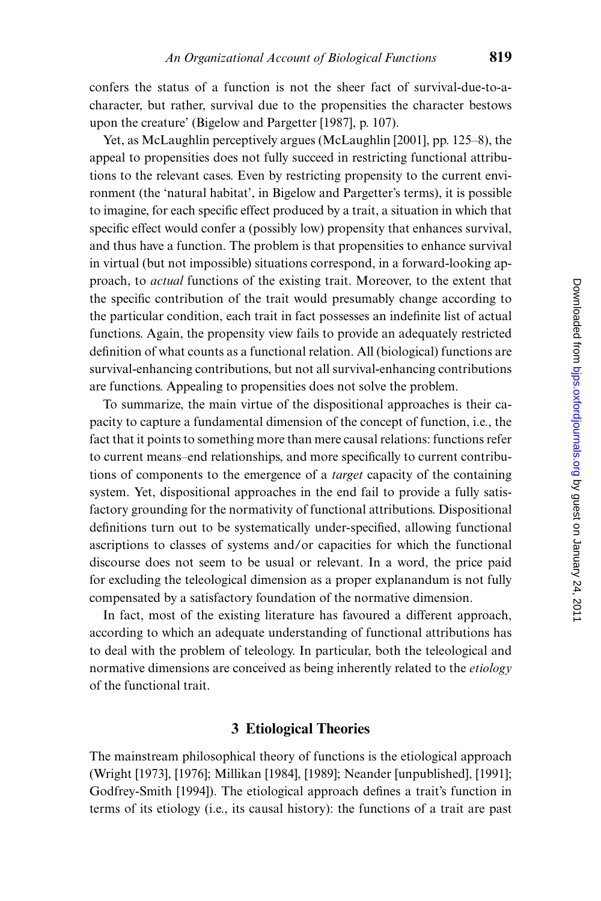confers the status of a function is not the sheer fact of survival-due-to-acharacter, but rather, survival due to the propensities the character bestows upon the creature' (Bigelow and Pargetter [1987], p. 107).

Yet, as McLaughlin perceptively argues (McLaughlin [2001], pp. 125–8), the appeal to propensities does not fully succeed in restricting functional attributions to the relevant cases. Even by restricting propensity to the current environment (the 'natural habitat', in Bigelow and Pargetter's terms), it is possible to imagine, for each specific effect produced by a trait, a situation in which that specific effect would confer a (possibly low) propensity that enhances survival, and thus have a function. The problem is that propensities to enhance survival in virtual (but not impossible) situations correspond, in a forward-looking approach, to *actual* functions of the existing trait. Moreover, to the extent that the specific contribution of the trait would presumably change according to the particular condition, each trait in fact possesses an indefinite list of actual functions. Again, the propensity view fails to provide an adequately restricted definition of what counts as a functional relation. All (biological) functions are survival-enhancing contributions, but not all survival-enhancing contributions are functions. Appealing to propensities does not solve the problem.

To summarize, the main virtue of the dispositional approaches is their capacity to capture a fundamental dimension of the concept of function, i.e., the fact that it points to something more than mere causal relations: functions refer to current means–end relationships, and more specifically to current contributions of components to the emergence of a *target* capacity of the containing system. Yet, dispositional approaches in the end fail to provide a fully satisfactory grounding for the normativity of functional attributions. Dispositional definitions turn out to be systematically under-specified, allowing functional ascriptions to classes of systems and/or capacities for which the functional discourse does not seem to be usual or relevant. In a word, the price paid for excluding the teleological dimension as a proper explanandum is not fully compensated by a satisfactory foundation of the normative dimension.

In fact, most of the existing literature has favoured a different approach, according to which an adequate understanding of functional attributions has to deal with the problem of teleology. In particular, both the teleological and normative dimensions are conceived as being inherently related to the *etiology* of the functional trait.

# **3 Etiological Theories**

The mainstream philosophical theory of functions is the etiological approach (Wright [1973], [1976]; Millikan [1984], [1989]; Neander [unpublished], [1991]; Godfrey-Smith [1994]). The etiological approach defines a trait's function in terms of its etiology (i.e., its causal history): the functions of a trait are past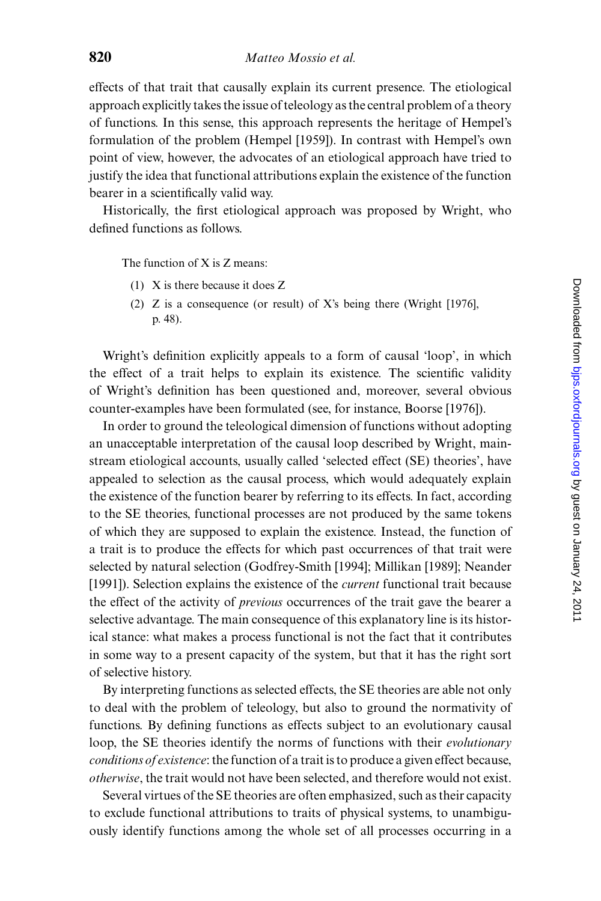effects of that trait that causally explain its current presence. The etiological approach explicitly takes the issue of teleology as the central problem of a theory of functions. In this sense, this approach represents the heritage of Hempel's formulation of the problem (Hempel [1959]). In contrast with Hempel's own point of view, however, the advocates of an etiological approach have tried to justify the idea that functional attributions explain the existence of the function bearer in a scientifically valid way.

Historically, the first etiological approach was proposed by Wright, who defined functions as follows.

The function of X is Z means:

- (1) X is there because it does Z
- (2) Z is a consequence (or result) of X's being there (Wright [1976], p. 48).

Wright's definition explicitly appeals to a form of causal 'loop', in which the effect of a trait helps to explain its existence. The scientific validity of Wright's definition has been questioned and, moreover, several obvious counter-examples have been formulated (see, for instance, Boorse [1976]).

In order to ground the teleological dimension of functions without adopting an unacceptable interpretation of the causal loop described by Wright, mainstream etiological accounts, usually called 'selected effect (SE) theories', have appealed to selection as the causal process, which would adequately explain the existence of the function bearer by referring to its effects. In fact, according to the SE theories, functional processes are not produced by the same tokens of which they are supposed to explain the existence. Instead, the function of a trait is to produce the effects for which past occurrences of that trait were selected by natural selection (Godfrey-Smith [1994]; Millikan [1989]; Neander [1991]). Selection explains the existence of the *current* functional trait because the effect of the activity of *previous* occurrences of the trait gave the bearer a selective advantage. The main consequence of this explanatory line is its historical stance: what makes a process functional is not the fact that it contributes in some way to a present capacity of the system, but that it has the right sort of selective history.

By interpreting functions as selected effects, the SE theories are able not only to deal with the problem of teleology, but also to ground the normativity of functions. By defining functions as effects subject to an evolutionary causal loop, the SE theories identify the norms of functions with their *evolutionary conditions of existence*: the function of a trait is to produce a given effect because, *otherwise*, the trait would not have been selected, and therefore would not exist.

Several virtues of the SE theories are often emphasized, such as their capacity to exclude functional attributions to traits of physical systems, to unambiguously identify functions among the whole set of all processes occurring in a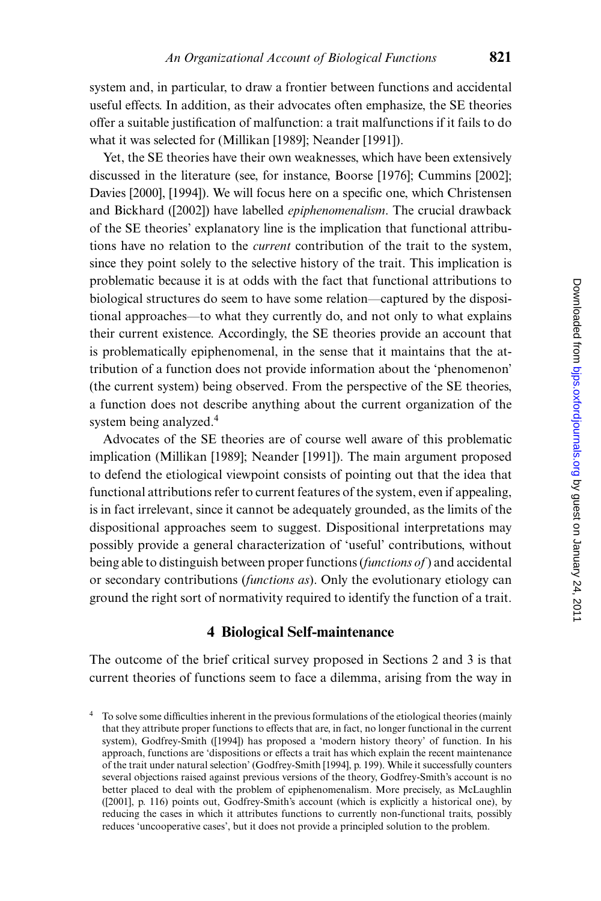system and, in particular, to draw a frontier between functions and accidental useful effects. In addition, as their advocates often emphasize, the SE theories offer a suitable justification of malfunction: a trait malfunctions if it fails to do what it was selected for (Millikan [1989]; Neander [1991]).

Yet, the SE theories have their own weaknesses, which have been extensively discussed in the literature (see, for instance, Boorse [1976]; Cummins [2002]; Davies [2000], [1994]). We will focus here on a specific one, which Christensen and Bickhard ([2002]) have labelled *epiphenomenalism*. The crucial drawback of the SE theories' explanatory line is the implication that functional attributions have no relation to the *current* contribution of the trait to the system, since they point solely to the selective history of the trait. This implication is problematic because it is at odds with the fact that functional attributions to biological structures do seem to have some relation—captured by the dispositional approaches—to what they currently do, and not only to what explains their current existence. Accordingly, the SE theories provide an account that is problematically epiphenomenal, in the sense that it maintains that the attribution of a function does not provide information about the 'phenomenon' (the current system) being observed. From the perspective of the SE theories, a function does not describe anything about the current organization of the system being analyzed.<sup>4</sup>

Advocates of the SE theories are of course well aware of this problematic implication (Millikan [1989]; Neander [1991]). The main argument proposed to defend the etiological viewpoint consists of pointing out that the idea that functional attributions refer to current features of the system, even if appealing, is in fact irrelevant, since it cannot be adequately grounded, as the limits of the dispositional approaches seem to suggest. Dispositional interpretations may possibly provide a general characterization of 'useful' contributions, without being able to distinguish between proper functions (*functions of* ) and accidental or secondary contributions (*functions as*). Only the evolutionary etiology can ground the right sort of normativity required to identify the function of a trait.

# **4 Biological Self-maintenance**

The outcome of the brief critical survey proposed in Sections 2 and 3 is that current theories of functions seem to face a dilemma, arising from the way in

<sup>4</sup> To solve some difficulties inherent in the previous formulations of the etiological theories (mainly that they attribute proper functions to effects that are, in fact, no longer functional in the current system), Godfrey-Smith ([1994]) has proposed a 'modern history theory' of function. In his approach, functions are 'dispositions or effects a trait has which explain the recent maintenance of the trait under natural selection' (Godfrey-Smith [1994], p. 199). While it successfully counters several objections raised against previous versions of the theory, Godfrey-Smith's account is no better placed to deal with the problem of epiphenomenalism. More precisely, as McLaughlin ([2001], p. 116) points out, Godfrey-Smith's account (which is explicitly a historical one), by reducing the cases in which it attributes functions to currently non-functional traits, possibly reduces 'uncooperative cases', but it does not provide a principled solution to the problem.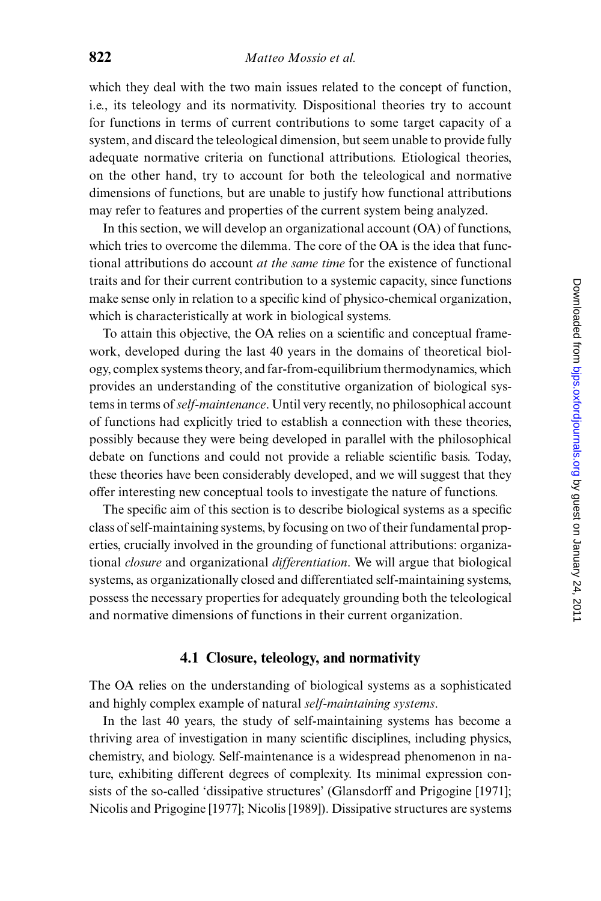which they deal with the two main issues related to the concept of function, i.e., its teleology and its normativity. Dispositional theories try to account for functions in terms of current contributions to some target capacity of a system, and discard the teleological dimension, but seem unable to provide fully adequate normative criteria on functional attributions. Etiological theories, on the other hand, try to account for both the teleological and normative dimensions of functions, but are unable to justify how functional attributions may refer to features and properties of the current system being analyzed.

In this section, we will develop an organizational account (OA) of functions, which tries to overcome the dilemma. The core of the OA is the idea that functional attributions do account *at the same time* for the existence of functional traits and for their current contribution to a systemic capacity, since functions make sense only in relation to a specific kind of physico-chemical organization, which is characteristically at work in biological systems.

To attain this objective, the OA relies on a scientific and conceptual framework, developed during the last 40 years in the domains of theoretical biology, complex systems theory, and far-from-equilibrium thermodynamics, which provides an understanding of the constitutive organization of biological systems in terms of*self-maintenance*. Until very recently, no philosophical account of functions had explicitly tried to establish a connection with these theories, possibly because they were being developed in parallel with the philosophical debate on functions and could not provide a reliable scientific basis. Today, these theories have been considerably developed, and we will suggest that they offer interesting new conceptual tools to investigate the nature of functions.

The specific aim of this section is to describe biological systems as a specific class of self-maintaining systems, by focusing on two of their fundamental properties, crucially involved in the grounding of functional attributions: organizational *closure* and organizational *differentiation*. We will argue that biological systems, as organizationally closed and differentiated self-maintaining systems, possess the necessary properties for adequately grounding both the teleological and normative dimensions of functions in their current organization.

## **4.1 Closure, teleology, and normativity**

The OA relies on the understanding of biological systems as a sophisticated and highly complex example of natural *self-maintaining systems*.

In the last 40 years, the study of self-maintaining systems has become a thriving area of investigation in many scientific disciplines, including physics, chemistry, and biology. Self-maintenance is a widespread phenomenon in nature, exhibiting different degrees of complexity. Its minimal expression consists of the so-called 'dissipative structures' (Glansdorff and Prigogine [1971]; Nicolis and Prigogine [1977]; Nicolis [1989]). Dissipative structures are systems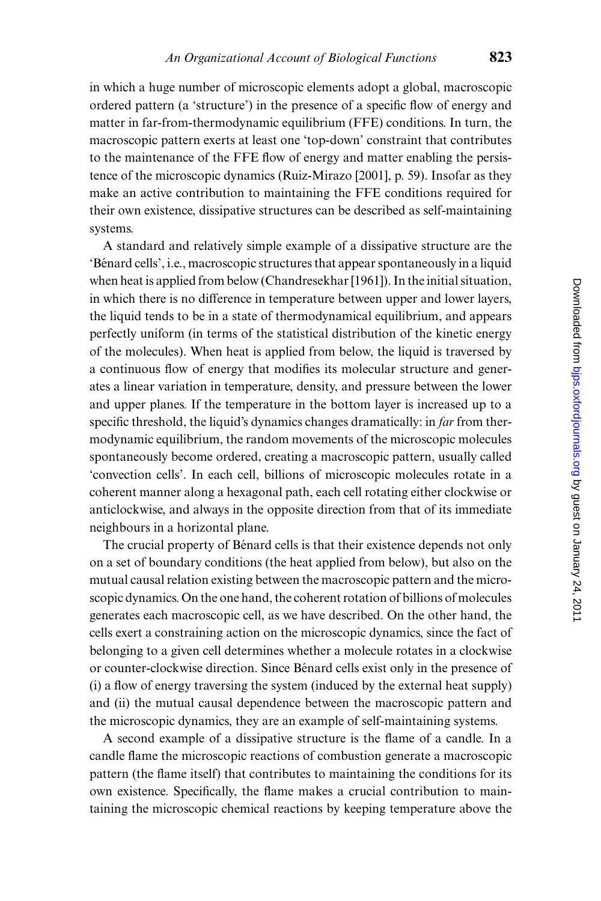in which a huge number of microscopic elements adopt a global, macroscopic ordered pattern (a 'structure') in the presence of a specific flow of energy and matter in far-from-thermodynamic equilibrium (FFE) conditions. In turn, the macroscopic pattern exerts at least one 'top-down' constraint that contributes to the maintenance of the FFE flow of energy and matter enabling the persistence of the microscopic dynamics (Ruiz-Mirazo [2001], p. 59). Insofar as they make an active contribution to maintaining the FFE conditions required for their own existence, dissipative structures can be described as self-maintaining systems.

A standard and relatively simple example of a dissipative structure are the 'Bénard cells', *i.e.*, macroscopic structures that appear spontaneously in a liquid when heat is applied from below (Chandresekhar [1961]). In the initial situation, in which there is no difference in temperature between upper and lower layers, the liquid tends to be in a state of thermodynamical equilibrium, and appears perfectly uniform (in terms of the statistical distribution of the kinetic energy of the molecules). When heat is applied from below, the liquid is traversed by a continuous flow of energy that modifies its molecular structure and generates a linear variation in temperature, density, and pressure between the lower and upper planes. If the temperature in the bottom layer is increased up to a specific threshold, the liquid's dynamics changes dramatically: in *far* from thermodynamic equilibrium, the random movements of the microscopic molecules spontaneously become ordered, creating a macroscopic pattern, usually called 'convection cells'. In each cell, billions of microscopic molecules rotate in a coherent manner along a hexagonal path, each cell rotating either clockwise or anticlockwise, and always in the opposite direction from that of its immediate neighbours in a horizontal plane.

The crucial property of Bénard cells is that their existence depends not only on a set of boundary conditions (the heat applied from below), but also on the mutual causal relation existing between the macroscopic pattern and the microscopic dynamics. On the one hand, the coherent rotation of billions of molecules generates each macroscopic cell, as we have described. On the other hand, the cells exert a constraining action on the microscopic dynamics, since the fact of belonging to a given cell determines whether a molecule rotates in a clockwise or counter-clockwise direction. Since Bénard cells exist only in the presence of (i) a flow of energy traversing the system (induced by the external heat supply) and (ii) the mutual causal dependence between the macroscopic pattern and the microscopic dynamics, they are an example of self-maintaining systems.

A second example of a dissipative structure is the flame of a candle. In a candle flame the microscopic reactions of combustion generate a macroscopic pattern (the flame itself) that contributes to maintaining the conditions for its own existence. Specifically, the flame makes a crucial contribution to maintaining the microscopic chemical reactions by keeping temperature above the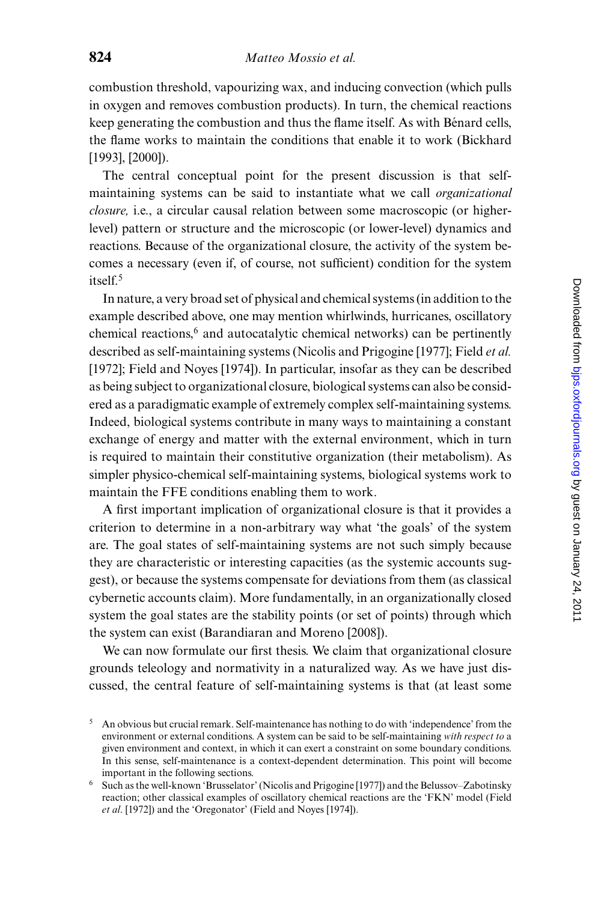combustion threshold, vapourizing wax, and inducing convection (which pulls in oxygen and removes combustion products). In turn, the chemical reactions keep generating the combustion and thus the flame itself. As with Bénard cells, the flame works to maintain the conditions that enable it to work (Bickhard [1993], [2000]).

The central conceptual point for the present discussion is that selfmaintaining systems can be said to instantiate what we call *organizational closure,* i.e., a circular causal relation between some macroscopic (or higherlevel) pattern or structure and the microscopic (or lower-level) dynamics and reactions. Because of the organizational closure, the activity of the system becomes a necessary (even if, of course, not sufficient) condition for the system itself.<sup>5</sup>

In nature, a very broad set of physical and chemical systems (in addition to the example described above, one may mention whirlwinds, hurricanes, oscillatory chemical reactions,<sup>6</sup> and autocatalytic chemical networks) can be pertinently described as self-maintaining systems (Nicolis and Prigogine [1977]; Field *et al.* [1972]; Field and Noyes [1974]). In particular, insofar as they can be described as being subject to organizational closure, biological systems can also be considered as a paradigmatic example of extremely complex self-maintaining systems. Indeed, biological systems contribute in many ways to maintaining a constant exchange of energy and matter with the external environment, which in turn is required to maintain their constitutive organization (their metabolism). As simpler physico-chemical self-maintaining systems, biological systems work to maintain the FFE conditions enabling them to work.

A first important implication of organizational closure is that it provides a criterion to determine in a non-arbitrary way what 'the goals' of the system are. The goal states of self-maintaining systems are not such simply because they are characteristic or interesting capacities (as the systemic accounts suggest), or because the systems compensate for deviations from them (as classical cybernetic accounts claim). More fundamentally, in an organizationally closed system the goal states are the stability points (or set of points) through which the system can exist (Barandiaran and Moreno [2008]).

We can now formulate our first thesis. We claim that organizational closure grounds teleology and normativity in a naturalized way. As we have just discussed, the central feature of self-maintaining systems is that (at least some

<sup>5</sup> An obvious but crucial remark. Self-maintenance has nothing to do with 'independence' from the environment or external conditions. A system can be said to be self-maintaining *with respect to* a given environment and context, in which it can exert a constraint on some boundary conditions. In this sense, self-maintenance is a context-dependent determination. This point will become important in the following sections.

<sup>6</sup> Such as the well-known 'Brusselator' (Nicolis and Prigogine [1977]) and the Belussov–Zabotinsky reaction; other classical examples of oscillatory chemical reactions are the 'FKN' model (Field *et al*. [1972]) and the 'Oregonator' (Field and Noyes [1974]).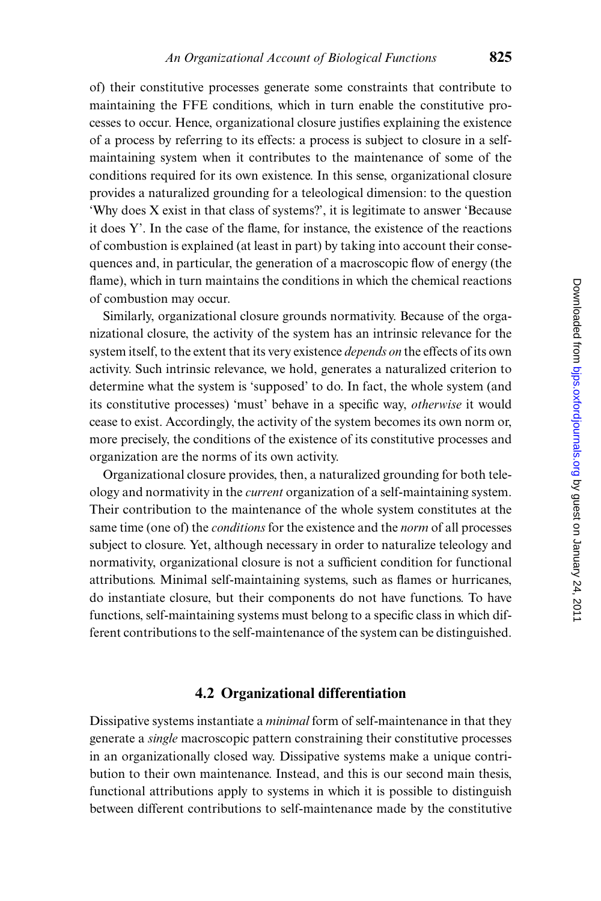of) their constitutive processes generate some constraints that contribute to maintaining the FFE conditions, which in turn enable the constitutive processes to occur. Hence, organizational closure justifies explaining the existence of a process by referring to its effects: a process is subject to closure in a selfmaintaining system when it contributes to the maintenance of some of the conditions required for its own existence. In this sense, organizational closure provides a naturalized grounding for a teleological dimension: to the question 'Why does X exist in that class of systems?', it is legitimate to answer 'Because it does Y'. In the case of the flame, for instance, the existence of the reactions of combustion is explained (at least in part) by taking into account their consequences and, in particular, the generation of a macroscopic flow of energy (the flame), which in turn maintains the conditions in which the chemical reactions of combustion may occur.

Similarly, organizational closure grounds normativity. Because of the organizational closure, the activity of the system has an intrinsic relevance for the system itself, to the extent that its very existence *depends on* the effects of its own activity. Such intrinsic relevance, we hold, generates a naturalized criterion to determine what the system is 'supposed' to do. In fact, the whole system (and its constitutive processes) 'must' behave in a specific way, *otherwise* it would cease to exist. Accordingly, the activity of the system becomes its own norm or, more precisely, the conditions of the existence of its constitutive processes and organization are the norms of its own activity.

Organizational closure provides, then, a naturalized grounding for both teleology and normativity in the *current* organization of a self-maintaining system. Their contribution to the maintenance of the whole system constitutes at the same time (one of) the *conditions* for the existence and the *norm* of all processes subject to closure. Yet, although necessary in order to naturalize teleology and normativity, organizational closure is not a sufficient condition for functional attributions. Minimal self-maintaining systems, such as flames or hurricanes, do instantiate closure, but their components do not have functions. To have functions, self-maintaining systems must belong to a specific class in which different contributions to the self-maintenance of the system can be distinguished.

## **4.2 Organizational differentiation**

Dissipative systems instantiate a *minimal* form of self-maintenance in that they generate a *single* macroscopic pattern constraining their constitutive processes in an organizationally closed way. Dissipative systems make a unique contribution to their own maintenance. Instead, and this is our second main thesis, functional attributions apply to systems in which it is possible to distinguish between different contributions to self-maintenance made by the constitutive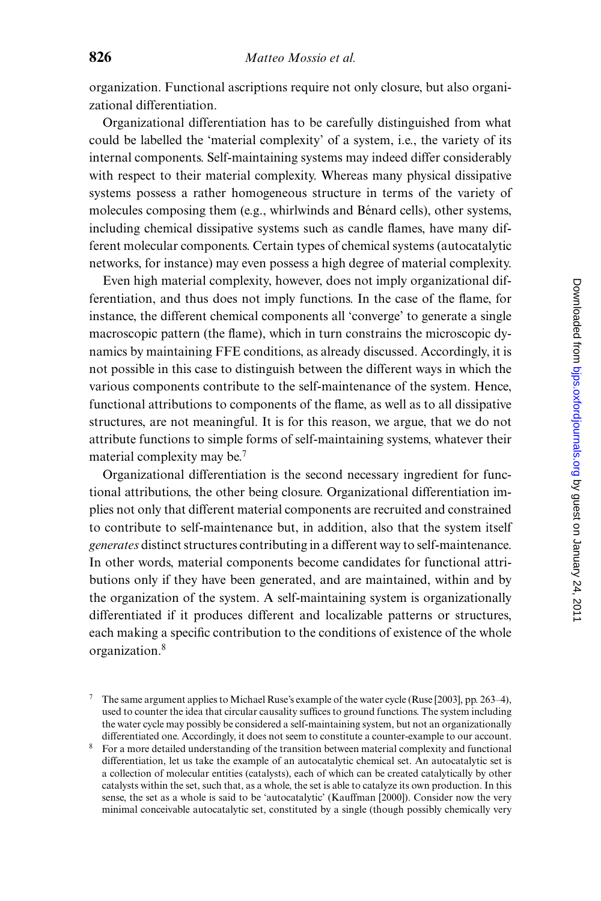organization. Functional ascriptions require not only closure, but also organizational differentiation.

Organizational differentiation has to be carefully distinguished from what could be labelled the 'material complexity' of a system, i.e., the variety of its internal components. Self-maintaining systems may indeed differ considerably with respect to their material complexity. Whereas many physical dissipative systems possess a rather homogeneous structure in terms of the variety of molecules composing them (e.g., whirlwinds and Bénard cells), other systems, including chemical dissipative systems such as candle flames, have many different molecular components. Certain types of chemical systems (autocatalytic networks, for instance) may even possess a high degree of material complexity.

Even high material complexity, however, does not imply organizational differentiation, and thus does not imply functions. In the case of the flame, for instance, the different chemical components all 'converge' to generate a single macroscopic pattern (the flame), which in turn constrains the microscopic dynamics by maintaining FFE conditions, as already discussed. Accordingly, it is not possible in this case to distinguish between the different ways in which the various components contribute to the self-maintenance of the system. Hence, functional attributions to components of the flame, as well as to all dissipative structures, are not meaningful. It is for this reason, we argue, that we do not attribute functions to simple forms of self-maintaining systems, whatever their material complexity may be.<sup>7</sup>

Organizational differentiation is the second necessary ingredient for functional attributions, the other being closure. Organizational differentiation implies not only that different material components are recruited and constrained to contribute to self-maintenance but, in addition, also that the system itself *generates* distinct structures contributing in a different way to self-maintenance. In other words, material components become candidates for functional attributions only if they have been generated, and are maintained, within and by the organization of the system. A self-maintaining system is organizationally differentiated if it produces different and localizable patterns or structures, each making a specific contribution to the conditions of existence of the whole organization.<sup>8</sup>

<sup>&</sup>lt;sup>7</sup> The same argument applies to Michael Ruse's example of the water cycle (Ruse [2003], pp. 263–4), used to counter the idea that circular causality suffices to ground functions. The system including the water cycle may possibly be considered a self-maintaining system, but not an organizationally differentiated one. Accordingly, it does not seem to constitute a counter-example to our account.

<sup>&</sup>lt;sup>8</sup> For a more detailed understanding of the transition between material complexity and functional differentiation, let us take the example of an autocatalytic chemical set. An autocatalytic set is a collection of molecular entities (catalysts), each of which can be created catalytically by other catalysts within the set, such that, as a whole, the set is able to catalyze its own production. In this sense, the set as a whole is said to be 'autocatalytic' (Kauffman [2000]). Consider now the very minimal conceivable autocatalytic set, constituted by a single (though possibly chemically very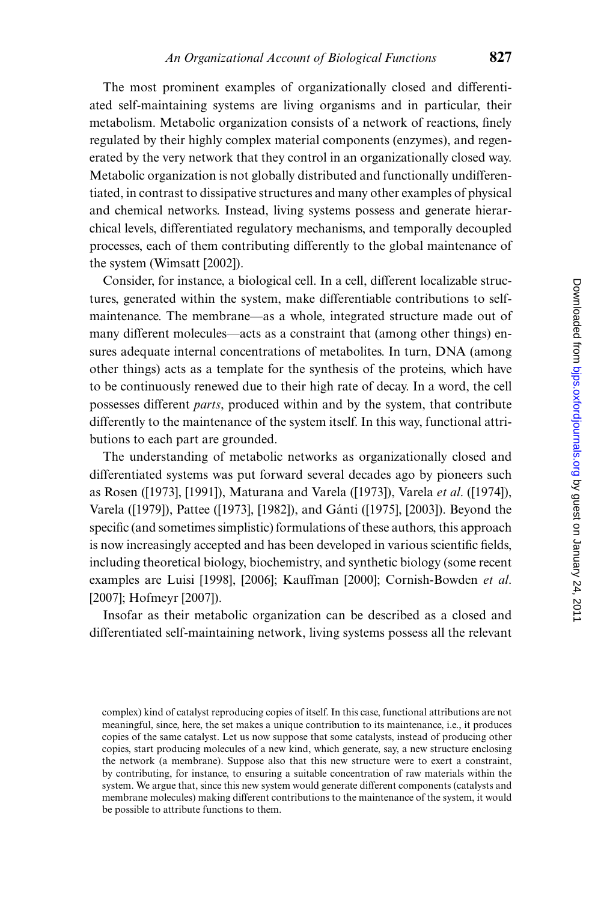The most prominent examples of organizationally closed and differentiated self-maintaining systems are living organisms and in particular, their metabolism. Metabolic organization consists of a network of reactions, finely regulated by their highly complex material components (enzymes), and regenerated by the very network that they control in an organizationally closed way. Metabolic organization is not globally distributed and functionally undifferentiated, in contrast to dissipative structures and many other examples of physical and chemical networks. Instead, living systems possess and generate hierarchical levels, differentiated regulatory mechanisms, and temporally decoupled processes, each of them contributing differently to the global maintenance of the system (Wimsatt [2002]).

Consider, for instance, a biological cell. In a cell, different localizable structures, generated within the system, make differentiable contributions to selfmaintenance. The membrane—as a whole, integrated structure made out of many different molecules—acts as a constraint that (among other things) ensures adequate internal concentrations of metabolites. In turn, DNA (among other things) acts as a template for the synthesis of the proteins, which have to be continuously renewed due to their high rate of decay. In a word, the cell possesses different *parts*, produced within and by the system, that contribute differently to the maintenance of the system itself. In this way, functional attributions to each part are grounded.

The understanding of metabolic networks as organizationally closed and differentiated systems was put forward several decades ago by pioneers such as Rosen ([1973], [1991]), Maturana and Varela ([1973]), Varela *et al*. ([1974]), Varela ([1979]), Pattee ([1973], [1982]), and Gánti ([1975], [2003]). Beyond the specific (and sometimes simplistic) formulations of these authors, this approach is now increasingly accepted and has been developed in various scientific fields, including theoretical biology, biochemistry, and synthetic biology (some recent examples are Luisi [1998], [2006]; Kauffman [2000]; Cornish-Bowden *et al*. [2007]; Hofmeyr [2007]).

Insofar as their metabolic organization can be described as a closed and differentiated self-maintaining network, living systems possess all the relevant

complex) kind of catalyst reproducing copies of itself. In this case, functional attributions are not meaningful, since, here, the set makes a unique contribution to its maintenance, i.e., it produces copies of the same catalyst. Let us now suppose that some catalysts, instead of producing other copies, start producing molecules of a new kind, which generate, say, a new structure enclosing the network (a membrane). Suppose also that this new structure were to exert a constraint, by contributing, for instance, to ensuring a suitable concentration of raw materials within the system. We argue that, since this new system would generate different components (catalysts and membrane molecules) making different contributions to the maintenance of the system, it would be possible to attribute functions to them.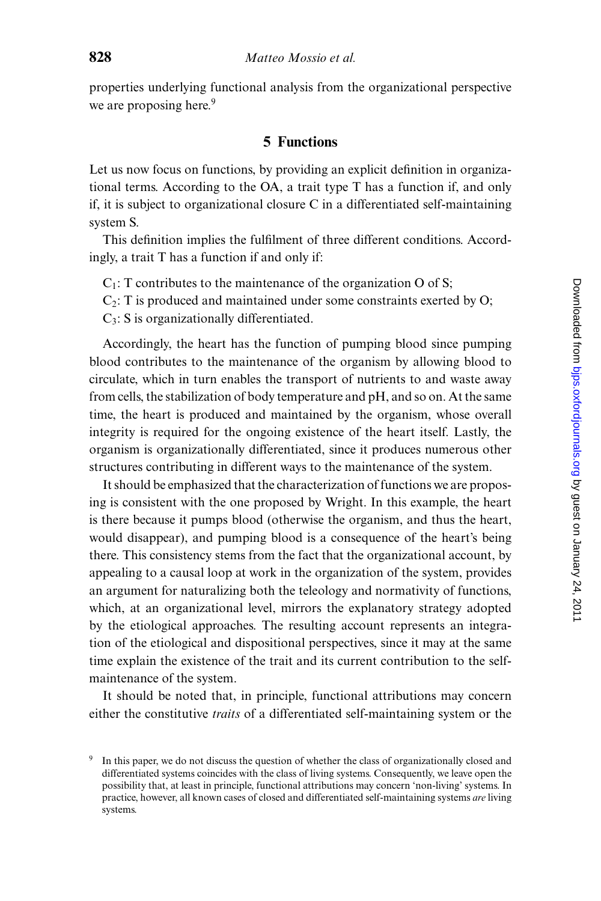properties underlying functional analysis from the organizational perspective we are proposing here.<sup>9</sup>

# **5 Functions**

Let us now focus on functions, by providing an explicit definition in organizational terms. According to the OA, a trait type T has a function if, and only if, it is subject to organizational closure C in a differentiated self-maintaining system S.

This definition implies the fulfilment of three different conditions. Accordingly, a trait T has a function if and only if:

 $C_1$ : T contributes to the maintenance of the organization O of S;

 $C_2$ : T is produced and maintained under some constraints exerted by O;

C3: S is organizationally differentiated.

Accordingly, the heart has the function of pumping blood since pumping blood contributes to the maintenance of the organism by allowing blood to circulate, which in turn enables the transport of nutrients to and waste away from cells, the stabilization of body temperature and pH, and so on. At the same time, the heart is produced and maintained by the organism, whose overall integrity is required for the ongoing existence of the heart itself. Lastly, the organism is organizationally differentiated, since it produces numerous other structures contributing in different ways to the maintenance of the system.

It should be emphasized that the characterization of functions we are proposing is consistent with the one proposed by Wright. In this example, the heart is there because it pumps blood (otherwise the organism, and thus the heart, would disappear), and pumping blood is a consequence of the heart's being there. This consistency stems from the fact that the organizational account, by appealing to a causal loop at work in the organization of the system, provides an argument for naturalizing both the teleology and normativity of functions, which, at an organizational level, mirrors the explanatory strategy adopted by the etiological approaches. The resulting account represents an integration of the etiological and dispositional perspectives, since it may at the same time explain the existence of the trait and its current contribution to the selfmaintenance of the system.

It should be noted that, in principle, functional attributions may concern either the constitutive *traits* of a differentiated self-maintaining system or the

<sup>9</sup> In this paper, we do not discuss the question of whether the class of organizationally closed and differentiated systems coincides with the class of living systems. Consequently, we leave open the possibility that, at least in principle, functional attributions may concern 'non-living' systems. In practice, however, all known cases of closed and differentiated self-maintaining systems *are* living systems.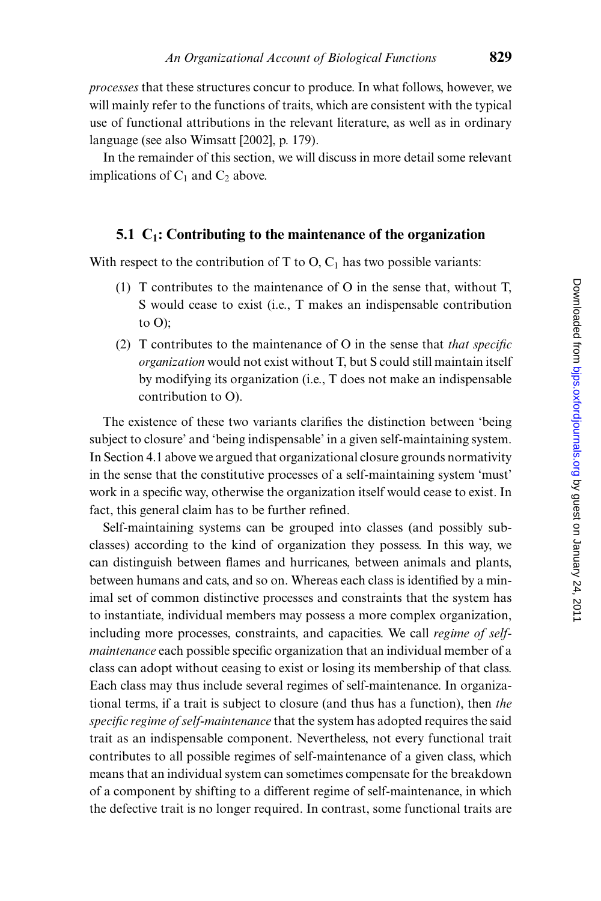*processes* that these structures concur to produce. In what follows, however, we will mainly refer to the functions of traits, which are consistent with the typical use of functional attributions in the relevant literature, as well as in ordinary language (see also Wimsatt [2002], p. 179).

In the remainder of this section, we will discuss in more detail some relevant implications of  $C_1$  and  $C_2$  above.

### **5.1 C1: Contributing to the maintenance of the organization**

With respect to the contribution of T to O,  $C_1$  has two possible variants:

- (1) T contributes to the maintenance of O in the sense that, without T, S would cease to exist (i.e., T makes an indispensable contribution to O);
- (2) T contributes to the maintenance of O in the sense that *that specific organization* would not exist without T, but S could still maintain itself by modifying its organization (i.e., T does not make an indispensable contribution to O).

The existence of these two variants clarifies the distinction between 'being subject to closure' and 'being indispensable' in a given self-maintaining system. In Section 4.1 above we argued that organizational closure grounds normativity in the sense that the constitutive processes of a self-maintaining system 'must' work in a specific way, otherwise the organization itself would cease to exist. In fact, this general claim has to be further refined.

Self-maintaining systems can be grouped into classes (and possibly subclasses) according to the kind of organization they possess. In this way, we can distinguish between flames and hurricanes, between animals and plants, between humans and cats, and so on. Whereas each class is identified by a minimal set of common distinctive processes and constraints that the system has to instantiate, individual members may possess a more complex organization, including more processes, constraints, and capacities. We call *regime of selfmaintenance* each possible specific organization that an individual member of a class can adopt without ceasing to exist or losing its membership of that class. Each class may thus include several regimes of self-maintenance. In organizational terms, if a trait is subject to closure (and thus has a function), then *the specific regime of self-maintenance* that the system has adopted requires the said trait as an indispensable component. Nevertheless, not every functional trait contributes to all possible regimes of self-maintenance of a given class, which means that an individual system can sometimes compensate for the breakdown of a component by shifting to a different regime of self-maintenance, in which the defective trait is no longer required. In contrast, some functional traits are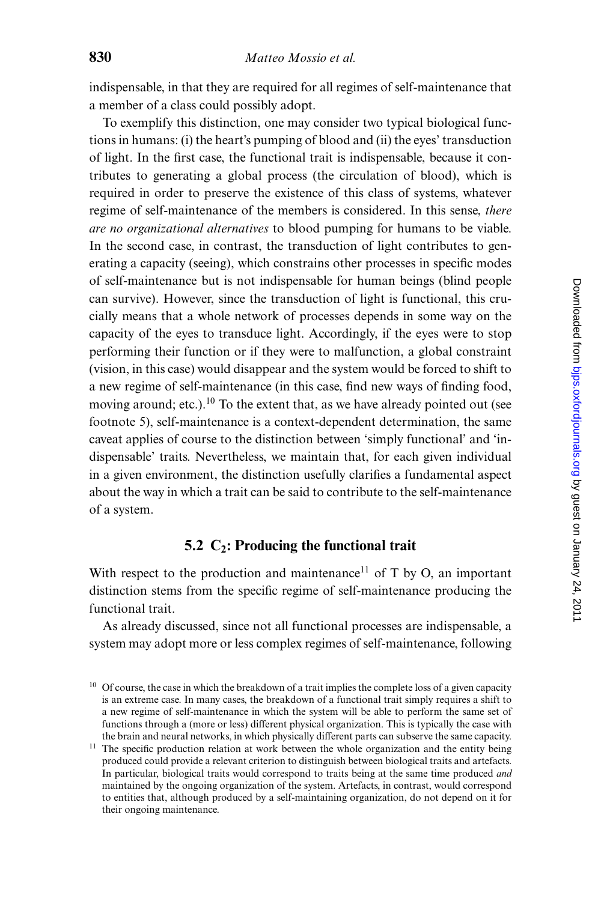indispensable, in that they are required for all regimes of self-maintenance that a member of a class could possibly adopt.

To exemplify this distinction, one may consider two typical biological functions in humans: (i) the heart's pumping of blood and (ii) the eyes' transduction of light. In the first case, the functional trait is indispensable, because it contributes to generating a global process (the circulation of blood), which is required in order to preserve the existence of this class of systems, whatever regime of self-maintenance of the members is considered. In this sense, *there are no organizational alternatives* to blood pumping for humans to be viable. In the second case, in contrast, the transduction of light contributes to generating a capacity (seeing), which constrains other processes in specific modes of self-maintenance but is not indispensable for human beings (blind people can survive). However, since the transduction of light is functional, this crucially means that a whole network of processes depends in some way on the capacity of the eyes to transduce light. Accordingly, if the eyes were to stop performing their function or if they were to malfunction, a global constraint (vision, in this case) would disappear and the system would be forced to shift to a new regime of self-maintenance (in this case, find new ways of finding food, moving around; etc.).<sup>10</sup> To the extent that, as we have already pointed out (see footnote 5), self-maintenance is a context-dependent determination, the same caveat applies of course to the distinction between 'simply functional' and 'indispensable' traits. Nevertheless, we maintain that, for each given individual in a given environment, the distinction usefully clarifies a fundamental aspect about the way in which a trait can be said to contribute to the self-maintenance of a system.

# **5.2 C2: Producing the functional trait**

With respect to the production and maintenance<sup>11</sup> of T by O, an important distinction stems from the specific regime of self-maintenance producing the functional trait.

As already discussed, since not all functional processes are indispensable, a system may adopt more or less complex regimes of self-maintenance, following

 $10$  Of course, the case in which the breakdown of a trait implies the complete loss of a given capacity is an extreme case. In many cases, the breakdown of a functional trait simply requires a shift to a new regime of self-maintenance in which the system will be able to perform the same set of functions through a (more or less) different physical organization. This is typically the case with the brain and neural networks, in which physically different parts can subserve the same capacity.

<sup>&</sup>lt;sup>11</sup> The specific production relation at work between the whole organization and the entity being produced could provide a relevant criterion to distinguish between biological traits and artefacts. In particular, biological traits would correspond to traits being at the same time produced *and* maintained by the ongoing organization of the system. Artefacts, in contrast, would correspond to entities that, although produced by a self-maintaining organization, do not depend on it for their ongoing maintenance.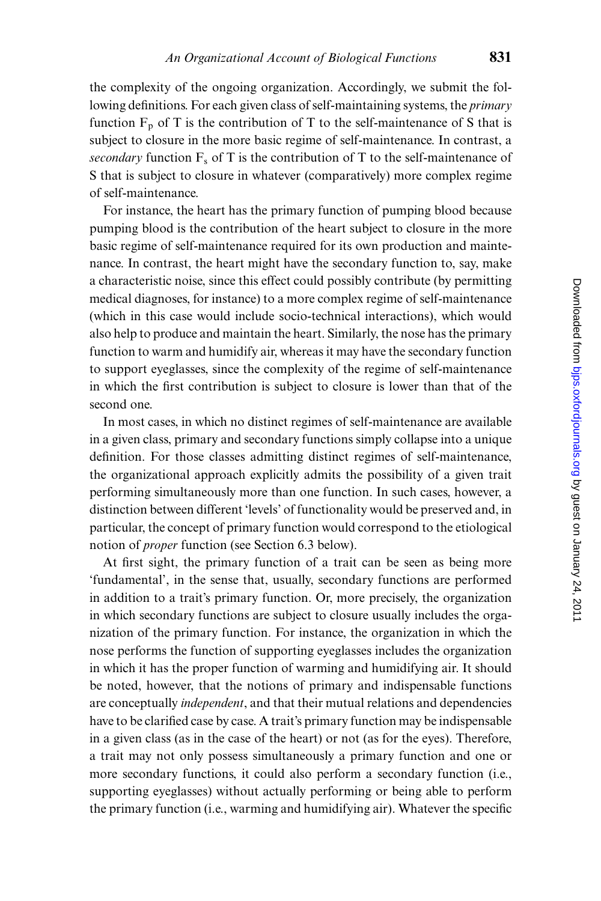the complexity of the ongoing organization. Accordingly, we submit the following definitions. For each given class of self-maintaining systems, the *primary* function  $F_p$  of T is the contribution of T to the self-maintenance of S that is subject to closure in the more basic regime of self-maintenance. In contrast, a *secondary* function  $F_s$  of T is the contribution of T to the self-maintenance of S that is subject to closure in whatever (comparatively) more complex regime of self-maintenance.

For instance, the heart has the primary function of pumping blood because pumping blood is the contribution of the heart subject to closure in the more basic regime of self-maintenance required for its own production and maintenance. In contrast, the heart might have the secondary function to, say, make a characteristic noise, since this effect could possibly contribute (by permitting medical diagnoses, for instance) to a more complex regime of self-maintenance (which in this case would include socio-technical interactions), which would also help to produce and maintain the heart. Similarly, the nose has the primary function to warm and humidify air, whereas it may have the secondary function to support eyeglasses, since the complexity of the regime of self-maintenance in which the first contribution is subject to closure is lower than that of the second one.

In most cases, in which no distinct regimes of self-maintenance are available in a given class, primary and secondary functions simply collapse into a unique definition. For those classes admitting distinct regimes of self-maintenance, the organizational approach explicitly admits the possibility of a given trait performing simultaneously more than one function. In such cases, however, a distinction between different 'levels' of functionality would be preserved and, in particular, the concept of primary function would correspond to the etiological notion of *proper* function (see Section 6.3 below).

At first sight, the primary function of a trait can be seen as being more 'fundamental', in the sense that, usually, secondary functions are performed in addition to a trait's primary function. Or, more precisely, the organization in which secondary functions are subject to closure usually includes the organization of the primary function. For instance, the organization in which the nose performs the function of supporting eyeglasses includes the organization in which it has the proper function of warming and humidifying air. It should be noted, however, that the notions of primary and indispensable functions are conceptually *independent*, and that their mutual relations and dependencies have to be clarified case by case. A trait's primary function may be indispensable in a given class (as in the case of the heart) or not (as for the eyes). Therefore, a trait may not only possess simultaneously a primary function and one or more secondary functions, it could also perform a secondary function (i.e., supporting eyeglasses) without actually performing or being able to perform the primary function (i.e., warming and humidifying air). Whatever the specific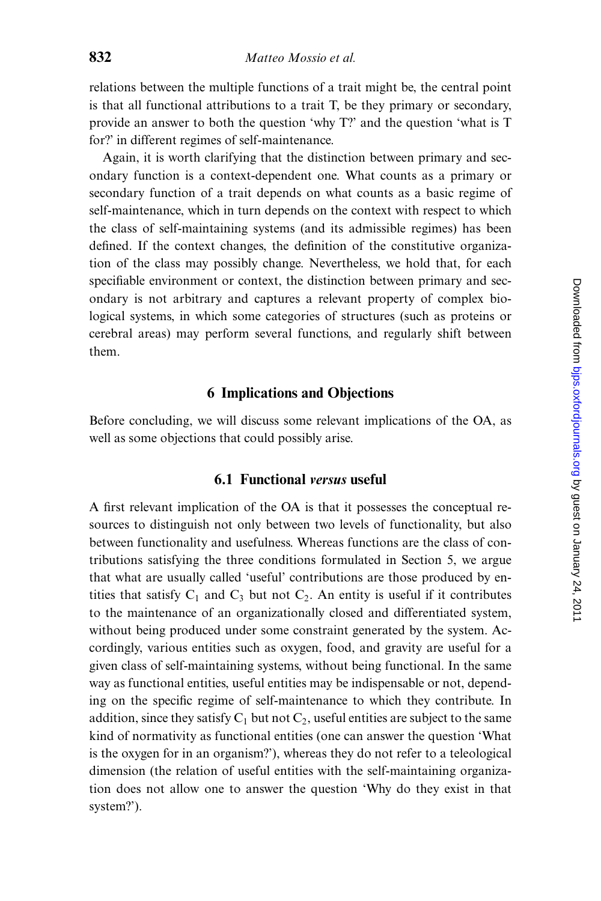relations between the multiple functions of a trait might be, the central point is that all functional attributions to a trait T, be they primary or secondary, provide an answer to both the question 'why T?' and the question 'what is T for?' in different regimes of self-maintenance.

Again, it is worth clarifying that the distinction between primary and secondary function is a context-dependent one. What counts as a primary or secondary function of a trait depends on what counts as a basic regime of self-maintenance, which in turn depends on the context with respect to which the class of self-maintaining systems (and its admissible regimes) has been defined. If the context changes, the definition of the constitutive organization of the class may possibly change. Nevertheless, we hold that, for each specifiable environment or context, the distinction between primary and secondary is not arbitrary and captures a relevant property of complex biological systems, in which some categories of structures (such as proteins or cerebral areas) may perform several functions, and regularly shift between them.

# **6 Implications and Objections**

Before concluding, we will discuss some relevant implications of the OA, as well as some objections that could possibly arise.

#### **6.1 Functional** *versus* **useful**

A first relevant implication of the OA is that it possesses the conceptual resources to distinguish not only between two levels of functionality, but also between functionality and usefulness. Whereas functions are the class of contributions satisfying the three conditions formulated in Section 5, we argue that what are usually called 'useful' contributions are those produced by entities that satisfy  $C_1$  and  $C_3$  but not  $C_2$ . An entity is useful if it contributes to the maintenance of an organizationally closed and differentiated system, without being produced under some constraint generated by the system. Accordingly, various entities such as oxygen, food, and gravity are useful for a given class of self-maintaining systems, without being functional. In the same way as functional entities, useful entities may be indispensable or not, depending on the specific regime of self-maintenance to which they contribute. In addition, since they satisfy  $C_1$  but not  $C_2$ , useful entities are subject to the same kind of normativity as functional entities (one can answer the question 'What is the oxygen for in an organism?'), whereas they do not refer to a teleological dimension (the relation of useful entities with the self-maintaining organization does not allow one to answer the question 'Why do they exist in that system?').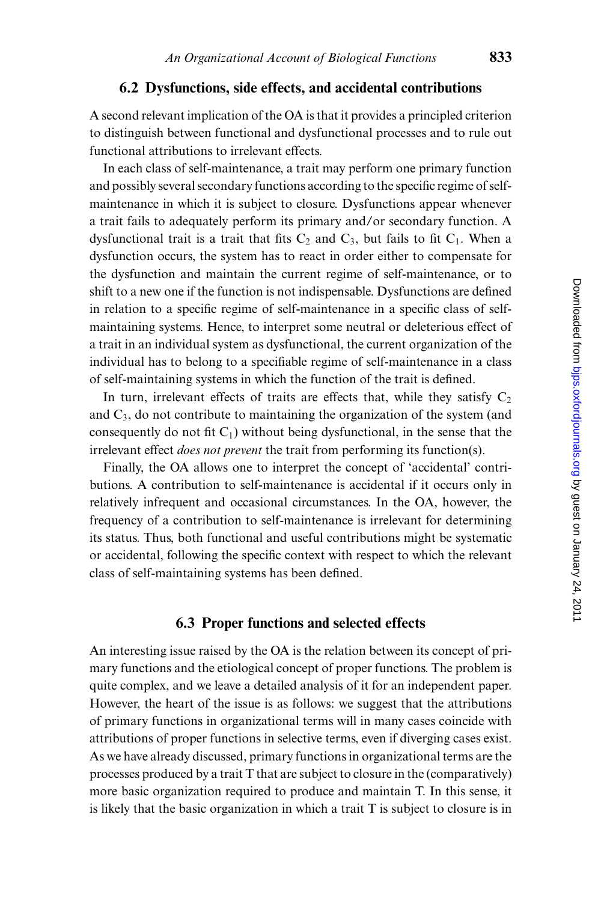#### **6.2 Dysfunctions, side effects, and accidental contributions**

A second relevant implication of the OA is that it provides a principled criterion to distinguish between functional and dysfunctional processes and to rule out functional attributions to irrelevant effects.

In each class of self-maintenance, a trait may perform one primary function and possibly several secondary functions according to the specific regime of selfmaintenance in which it is subject to closure. Dysfunctions appear whenever a trait fails to adequately perform its primary and/or secondary function. A dysfunctional trait is a trait that fits  $C_2$  and  $C_3$ , but fails to fit  $C_1$ . When a dysfunction occurs, the system has to react in order either to compensate for the dysfunction and maintain the current regime of self-maintenance, or to shift to a new one if the function is not indispensable. Dysfunctions are defined in relation to a specific regime of self-maintenance in a specific class of selfmaintaining systems. Hence, to interpret some neutral or deleterious effect of a trait in an individual system as dysfunctional, the current organization of the individual has to belong to a specifiable regime of self-maintenance in a class of self-maintaining systems in which the function of the trait is defined.

In turn, irrelevant effects of traits are effects that, while they satisfy  $C_2$ and  $C_3$ , do not contribute to maintaining the organization of the system (and consequently do not fit  $C_1$ ) without being dysfunctional, in the sense that the irrelevant effect *does not prevent* the trait from performing its function(s).

Finally, the OA allows one to interpret the concept of 'accidental' contributions. A contribution to self-maintenance is accidental if it occurs only in relatively infrequent and occasional circumstances. In the OA, however, the frequency of a contribution to self-maintenance is irrelevant for determining its status. Thus, both functional and useful contributions might be systematic or accidental, following the specific context with respect to which the relevant class of self-maintaining systems has been defined.

### **6.3 Proper functions and selected effects**

An interesting issue raised by the OA is the relation between its concept of primary functions and the etiological concept of proper functions. The problem is quite complex, and we leave a detailed analysis of it for an independent paper. However, the heart of the issue is as follows: we suggest that the attributions of primary functions in organizational terms will in many cases coincide with attributions of proper functions in selective terms, even if diverging cases exist. As we have already discussed, primary functions in organizational terms are the processes produced by a trait T that are subject to closure in the (comparatively) more basic organization required to produce and maintain T. In this sense, it is likely that the basic organization in which a trait T is subject to closure is in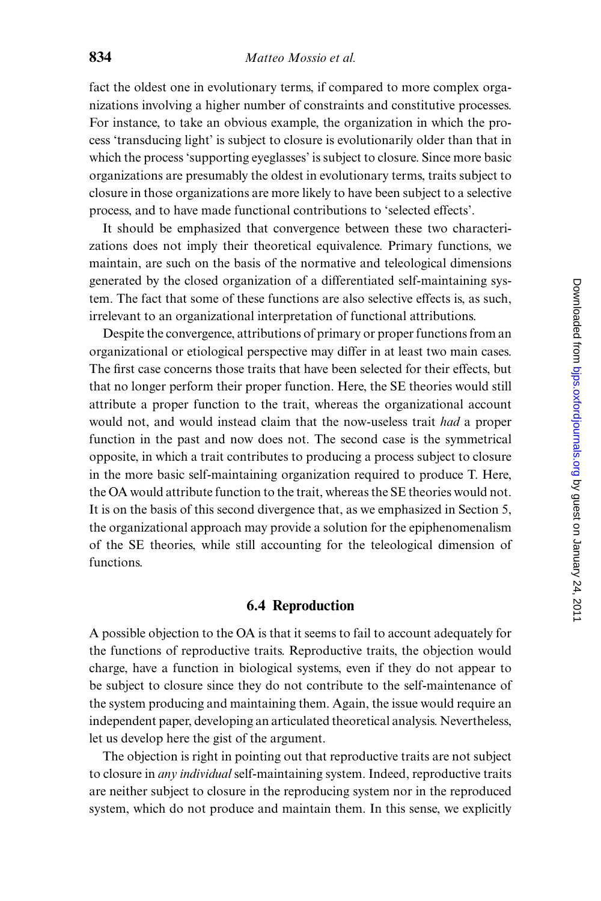fact the oldest one in evolutionary terms, if compared to more complex organizations involving a higher number of constraints and constitutive processes. For instance, to take an obvious example, the organization in which the process 'transducing light' is subject to closure is evolutionarily older than that in which the process 'supporting eyeglasses' is subject to closure. Since more basic organizations are presumably the oldest in evolutionary terms, traits subject to closure in those organizations are more likely to have been subject to a selective process, and to have made functional contributions to 'selected effects'.

It should be emphasized that convergence between these two characterizations does not imply their theoretical equivalence. Primary functions, we maintain, are such on the basis of the normative and teleological dimensions generated by the closed organization of a differentiated self-maintaining system. The fact that some of these functions are also selective effects is, as such, irrelevant to an organizational interpretation of functional attributions.

Despite the convergence, attributions of primary or proper functions from an organizational or etiological perspective may differ in at least two main cases. The first case concerns those traits that have been selected for their effects, but that no longer perform their proper function. Here, the SE theories would still attribute a proper function to the trait, whereas the organizational account would not, and would instead claim that the now-useless trait *had* a proper function in the past and now does not. The second case is the symmetrical opposite, in which a trait contributes to producing a process subject to closure in the more basic self-maintaining organization required to produce T. Here, the OA would attribute function to the trait, whereas the SE theories would not. It is on the basis of this second divergence that, as we emphasized in Section 5, the organizational approach may provide a solution for the epiphenomenalism of the SE theories, while still accounting for the teleological dimension of functions.

# **6.4 Reproduction**

A possible objection to the OA is that it seems to fail to account adequately for the functions of reproductive traits. Reproductive traits, the objection would charge, have a function in biological systems, even if they do not appear to be subject to closure since they do not contribute to the self-maintenance of the system producing and maintaining them. Again, the issue would require an independent paper, developing an articulated theoretical analysis. Nevertheless, let us develop here the gist of the argument.

The objection is right in pointing out that reproductive traits are not subject to closure in *any individual* self-maintaining system. Indeed, reproductive traits are neither subject to closure in the reproducing system nor in the reproduced system, which do not produce and maintain them. In this sense, we explicitly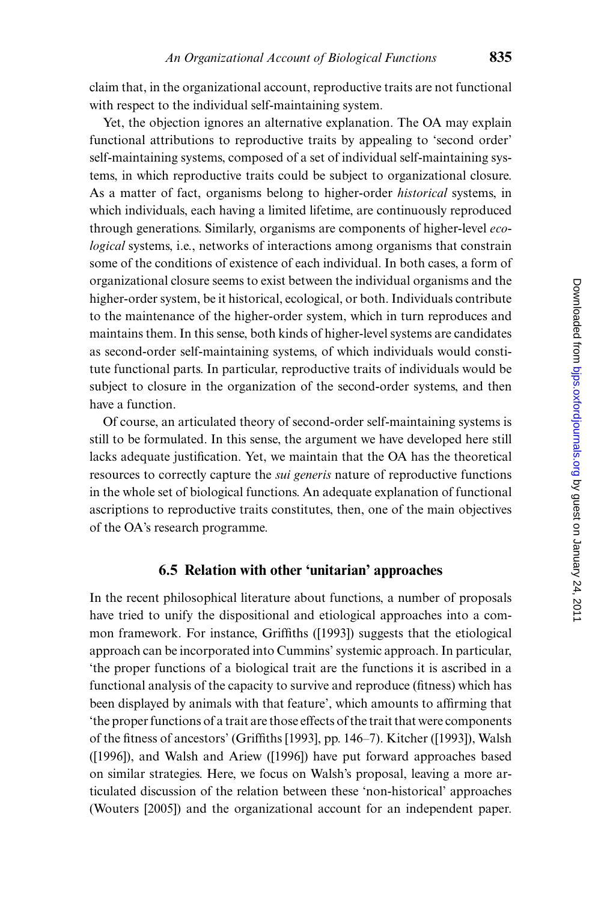claim that, in the organizational account, reproductive traits are not functional with respect to the individual self-maintaining system.

Yet, the objection ignores an alternative explanation. The OA may explain functional attributions to reproductive traits by appealing to 'second order' self-maintaining systems, composed of a set of individual self-maintaining systems, in which reproductive traits could be subject to organizational closure. As a matter of fact, organisms belong to higher-order *historical* systems, in which individuals, each having a limited lifetime, are continuously reproduced through generations. Similarly, organisms are components of higher-level *ecological* systems, i.e., networks of interactions among organisms that constrain some of the conditions of existence of each individual. In both cases, a form of organizational closure seems to exist between the individual organisms and the higher-order system, be it historical, ecological, or both. Individuals contribute to the maintenance of the higher-order system, which in turn reproduces and maintains them. In this sense, both kinds of higher-level systems are candidates as second-order self-maintaining systems, of which individuals would constitute functional parts. In particular, reproductive traits of individuals would be subject to closure in the organization of the second-order systems, and then have a function.

Of course, an articulated theory of second-order self-maintaining systems is still to be formulated. In this sense, the argument we have developed here still lacks adequate justification. Yet, we maintain that the OA has the theoretical resources to correctly capture the *sui generis* nature of reproductive functions in the whole set of biological functions. An adequate explanation of functional ascriptions to reproductive traits constitutes, then, one of the main objectives of the OA's research programme.

#### **6.5 Relation with other 'unitarian' approaches**

In the recent philosophical literature about functions, a number of proposals have tried to unify the dispositional and etiological approaches into a common framework. For instance, Griffiths ([1993]) suggests that the etiological approach can be incorporated into Cummins' systemic approach. In particular, 'the proper functions of a biological trait are the functions it is ascribed in a functional analysis of the capacity to survive and reproduce (fitness) which has been displayed by animals with that feature', which amounts to affirming that 'the proper functions of a trait are those effects of the trait that were components of the fitness of ancestors' (Griffiths [1993], pp. 146–7). Kitcher ([1993]), Walsh ([1996]), and Walsh and Ariew ([1996]) have put forward approaches based on similar strategies. Here, we focus on Walsh's proposal, leaving a more articulated discussion of the relation between these 'non-historical' approaches (Wouters [2005]) and the organizational account for an independent paper.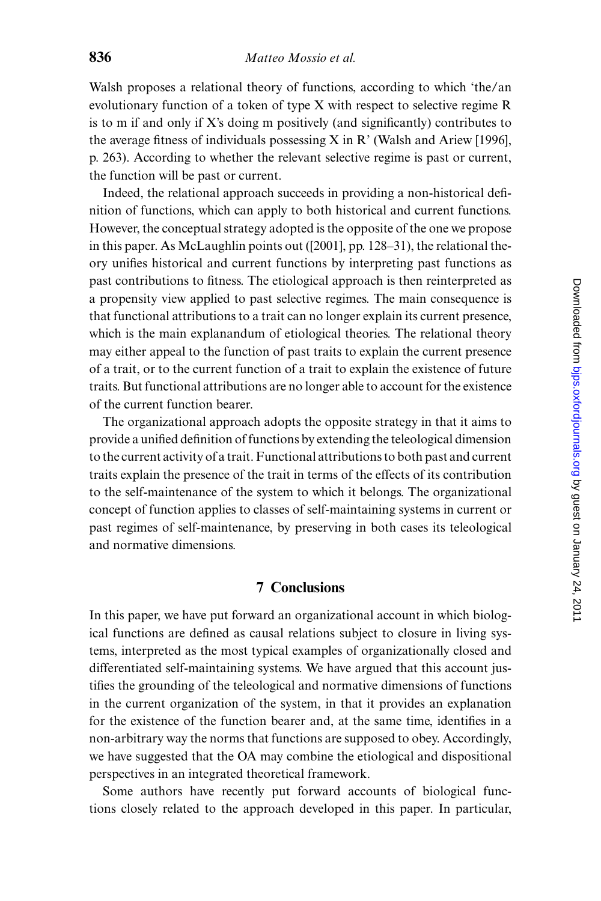Walsh proposes a relational theory of functions, according to which 'the/an evolutionary function of a token of type X with respect to selective regime R is to m if and only if X's doing m positively (and significantly) contributes to the average fitness of individuals possessing  $X$  in  $R'$  (Walsh and Ariew [1996], p. 263). According to whether the relevant selective regime is past or current, the function will be past or current.

Indeed, the relational approach succeeds in providing a non-historical definition of functions, which can apply to both historical and current functions. However, the conceptual strategy adopted is the opposite of the one we propose in this paper. As McLaughlin points out ([2001], pp. 128–31), the relational theory unifies historical and current functions by interpreting past functions as past contributions to fitness. The etiological approach is then reinterpreted as a propensity view applied to past selective regimes. The main consequence is that functional attributions to a trait can no longer explain its current presence, which is the main explanandum of etiological theories. The relational theory may either appeal to the function of past traits to explain the current presence of a trait, or to the current function of a trait to explain the existence of future traits. But functional attributions are no longer able to account for the existence of the current function bearer.

The organizational approach adopts the opposite strategy in that it aims to provide a unified definition of functions by extending the teleological dimension to the current activity of a trait. Functional attributions to both past and current traits explain the presence of the trait in terms of the effects of its contribution to the self-maintenance of the system to which it belongs. The organizational concept of function applies to classes of self-maintaining systems in current or past regimes of self-maintenance, by preserving in both cases its teleological and normative dimensions.

# **7 Conclusions**

In this paper, we have put forward an organizational account in which biological functions are defined as causal relations subject to closure in living systems, interpreted as the most typical examples of organizationally closed and differentiated self-maintaining systems. We have argued that this account justifies the grounding of the teleological and normative dimensions of functions in the current organization of the system, in that it provides an explanation for the existence of the function bearer and, at the same time, identifies in a non-arbitrary way the norms that functions are supposed to obey. Accordingly, we have suggested that the OA may combine the etiological and dispositional perspectives in an integrated theoretical framework.

Some authors have recently put forward accounts of biological functions closely related to the approach developed in this paper. In particular,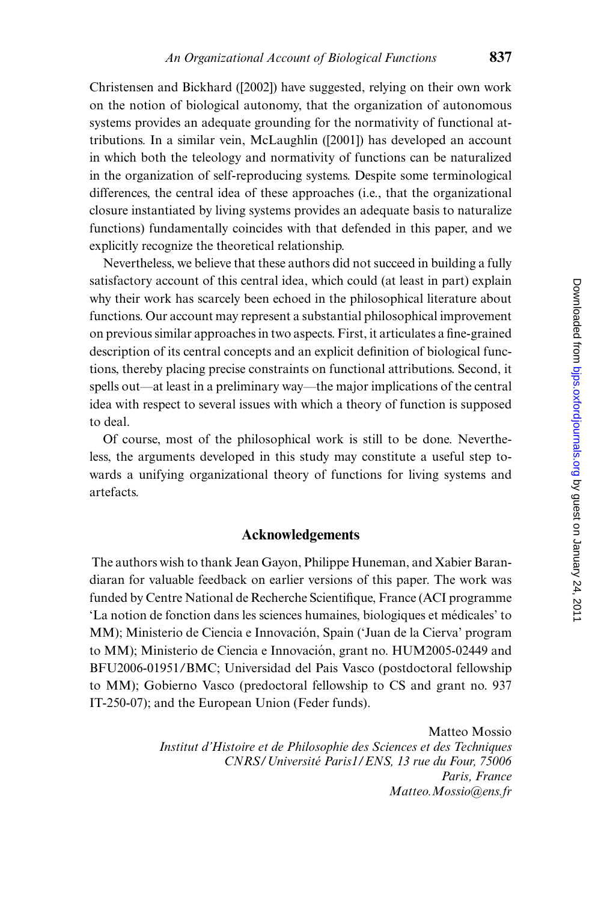Christensen and Bickhard ([2002]) have suggested, relying on their own work on the notion of biological autonomy, that the organization of autonomous systems provides an adequate grounding for the normativity of functional attributions. In a similar vein, McLaughlin ([2001]) has developed an account in which both the teleology and normativity of functions can be naturalized in the organization of self-reproducing systems. Despite some terminological differences, the central idea of these approaches (i.e., that the organizational closure instantiated by living systems provides an adequate basis to naturalize functions) fundamentally coincides with that defended in this paper, and we explicitly recognize the theoretical relationship.

Nevertheless, we believe that these authors did not succeed in building a fully satisfactory account of this central idea, which could (at least in part) explain why their work has scarcely been echoed in the philosophical literature about functions. Our account may represent a substantial philosophical improvement on previous similar approaches in two aspects. First, it articulates a fine-grained description of its central concepts and an explicit definition of biological functions, thereby placing precise constraints on functional attributions. Second, it spells out—at least in a preliminary way—the major implications of the central idea with respect to several issues with which a theory of function is supposed to deal.

Of course, most of the philosophical work is still to be done. Nevertheless, the arguments developed in this study may constitute a useful step towards a unifying organizational theory of functions for living systems and artefacts.

#### **Acknowledgements**

The authors wish to thank Jean Gayon, Philippe Huneman, and Xabier Barandiaran for valuable feedback on earlier versions of this paper. The work was funded by Centre National de Recherche Scientifique, France (ACI programme 'La notion de fonction dans les sciences humaines, biologiques et medicales' to ´ MM); Ministerio de Ciencia e Innovación, Spain ('Juan de la Cierva' program to MM); Ministerio de Ciencia e Innovación, grant no. HUM2005-02449 and BFU2006-01951/BMC; Universidad del Pais Vasco (postdoctoral fellowship to MM); Gobierno Vasco (predoctoral fellowship to CS and grant no. 937 IT-250-07); and the European Union (Feder funds).

> Matteo Mossio *Institut d'Histoire et de Philosophie des Sciences et des Techniques CNRS/Universite Paris1/ENS, 13 rue du Four, 75006 ´ Paris, France Matteo.Mossio@ens.fr*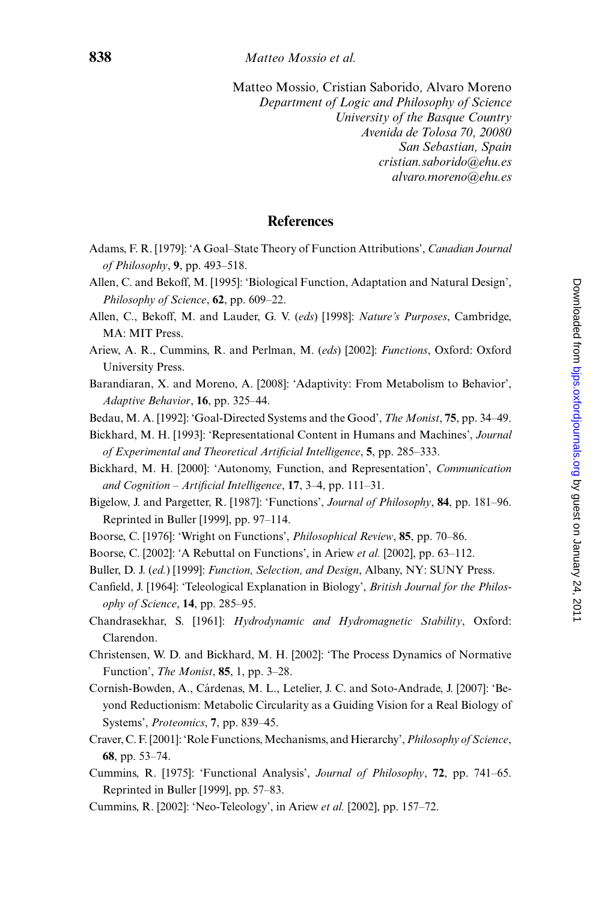Matteo Mossio*,* Cristian Saborido*,* Alvaro Moreno *Department of Logic and Philosophy of Science University of the Basque Country Avenida de Tolosa 70, 20080 San Sebastian, Spain cristian.saborido@ehu.es alvaro.moreno@ehu.es*

# **References**

- Adams, F. R. [1979]: 'A Goal–State Theory of Function Attributions', *Canadian Journal of Philosophy*, **9**, pp. 493–518.
- Allen, C. and Bekoff, M. [1995]: 'Biological Function, Adaptation and Natural Design', *Philosophy of Science*, **62**, pp. 609–22.
- Allen, C., Bekoff, M. and Lauder, G. V. (*eds*) [1998]: *Nature's Purposes*, Cambridge, MA: MIT Press.
- Ariew, A. R., Cummins, R. and Perlman, M. (*eds*) [2002]: *Functions*, Oxford: Oxford University Press.
- Barandiaran, X. and Moreno, A. [2008]: 'Adaptivity: From Metabolism to Behavior', *Adaptive Behavior*, **16**, pp. 325–44.
- Bedau, M. A. [1992]: 'Goal-Directed Systems and the Good', *The Monist*, **75**, pp. 34–49.
- Bickhard, M. H. [1993]: 'Representational Content in Humans and Machines', *Journal of Experimental and Theoretical Artificial Intelligence*, **5**, pp. 285–333.
- Bickhard, M. H. [2000]: 'Autonomy, Function, and Representation', *Communication and Cognition – Artificial Intelligence*, **17**, 3–4, pp. 111–31.
- Bigelow, J. and Pargetter, R. [1987]: 'Functions', *Journal of Philosophy*, **84**, pp. 181–96. Reprinted in Buller [1999], pp. 97–114.
- Boorse, C. [1976]: 'Wright on Functions', *Philosophical Review*, **85**, pp. 70–86.
- Boorse, C. [2002]: 'A Rebuttal on Functions', in Ariew *et al.* [2002], pp. 63–112.
- Buller, D. J. (*ed.*) [1999]: *Function, Selection, and Design*, Albany, NY: SUNY Press.
- Canfield, J. [1964]: 'Teleological Explanation in Biology', *British Journal for the Philosophy of Science*, **14**, pp. 285–95.
- Chandrasekhar, S. [1961]: *Hydrodynamic and Hydromagnetic Stability*, Oxford: Clarendon.
- Christensen, W. D. and Bickhard, M. H. [2002]: 'The Process Dynamics of Normative Function', *The Monist*, **85**, 1, pp. 3–28.
- Cornish-Bowden, A., Cárdenas, M. L., Letelier, J. C. and Soto-Andrade, J. [2007]: 'Beyond Reductionism: Metabolic Circularity as a Guiding Vision for a Real Biology of Systems', *Proteomics*, **7**, pp. 839–45.
- Craver, C. F. [2001]: 'Role Functions,Mechanisms, and Hierarchy',*Philosophy of Science*, **68**, pp. 53–74.
- Cummins, R. [1975]: 'Functional Analysis', *Journal of Philosophy*, **72**, pp. 741–65. Reprinted in Buller [1999], pp. 57–83.
- Cummins, R. [2002]: 'Neo-Teleology', in Ariew *et al.* [2002], pp. 157–72.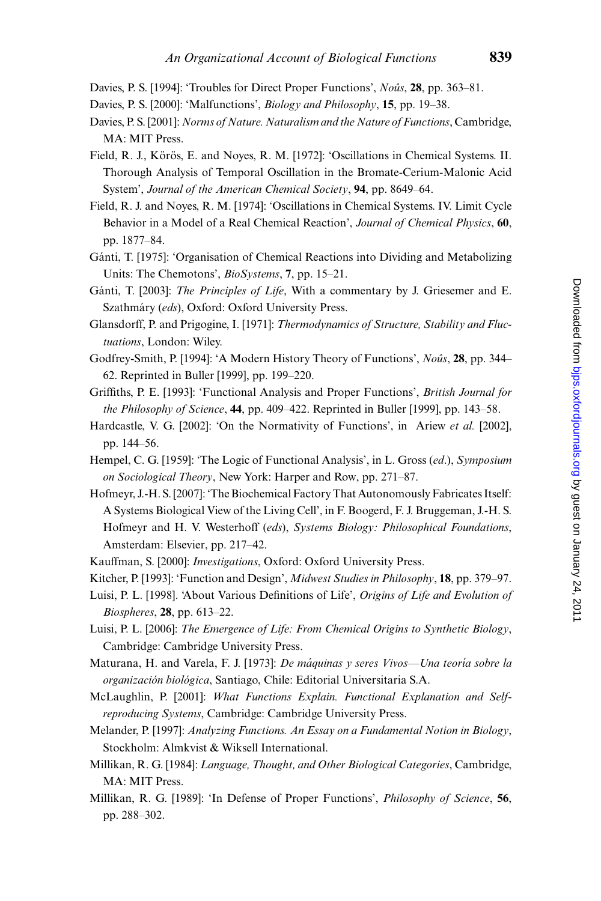- Davies, P. S. [1994]: 'Troubles for Direct Proper Functions', *Noûs*, 28, pp. 363–81.
- Davies, P. S. [2000]: 'Malfunctions', *Biology and Philosophy*, **15**, pp. 19–38.
- Davies, P. S. [2001]: *Norms of Nature. Naturalism and the Nature of Functions*, Cambridge, MA: MIT Press.
- Field, R. J., Körös, E. and Noyes, R. M. [1972]: 'Oscillations in Chemical Systems. II. Thorough Analysis of Temporal Oscillation in the Bromate-Cerium-Malonic Acid System', *Journal of the American Chemical Society*, **94**, pp. 8649–64.
- Field, R. J. and Noyes, R. M. [1974]: 'Oscillations in Chemical Systems. IV. Limit Cycle Behavior in a Model of a Real Chemical Reaction', *Journal of Chemical Physics*, **60**, pp. 1877–84.
- Gánti, T. [1975]: 'Organisation of Chemical Reactions into Dividing and Metabolizing Units: The Chemotons', *BioSystems*, **7**, pp. 15–21.
- Ganti, T. [2003]: *The Principles of Life*, With a commentary by J. Griesemer and E. Szathmáry (eds), Oxford: Oxford University Press.
- Glansdorff, P. and Prigogine, I. [1971]: *Thermodynamics of Structure, Stability and Fluctuations*, London: Wiley.
- Godfrey-Smith, P. [1994]: 'A Modern History Theory of Functions', *Noûs*, 28, pp. 344– 62. Reprinted in Buller [1999], pp. 199–220.
- Griffiths, P. E. [1993]: 'Functional Analysis and Proper Functions', *British Journal for the Philosophy of Science*, **44**, pp. 409–422. Reprinted in Buller [1999], pp. 143–58.
- Hardcastle, V. G. [2002]: 'On the Normativity of Functions', in Ariew *et al.* [2002], pp. 144–56.
- Hempel, C. G. [1959]: 'The Logic of Functional Analysis', in L. Gross (*ed*.), *Symposium on Sociological Theory*, New York: Harper and Row, pp. 271–87.
- Hofmeyr, J.-H. S. [2007]: 'The Biochemical Factory That Autonomously Fabricates Itself: A Systems Biological View of the Living Cell', in F. Boogerd, F. J. Bruggeman, J.-H. S. Hofmeyr and H. V. Westerhoff (*eds*), *Systems Biology: Philosophical Foundations*, Amsterdam: Elsevier, pp. 217–42.
- Kauffman, S. [2000]: *Investigations*, Oxford: Oxford University Press.
- Kitcher, P. [1993]: 'Function and Design', *Midwest Studies in Philosophy*, **18**, pp. 379–97.
- Luisi, P. L. [1998]. 'About Various Definitions of Life', *Origins of Life and Evolution of Biospheres*, **28**, pp. 613–22.
- Luisi, P. L. [2006]: *The Emergence of Life: From Chemical Origins to Synthetic Biology*, Cambridge: Cambridge University Press.
- Maturana, H. and Varela, F. J. [1973]: *De máquinas y seres Vivos—Una teoría sobre la organizacion biol ´ ogica ´* , Santiago, Chile: Editorial Universitaria S.A.
- McLaughlin, P. [2001]: *What Functions Explain. Functional Explanation and Selfreproducing Systems*, Cambridge: Cambridge University Press.
- Melander, P. [1997]: *Analyzing Functions. An Essay on a Fundamental Notion in Biology*, Stockholm: Almkvist & Wiksell International.
- Millikan, R. G. [1984]: *Language, Thought, and Other Biological Categories*, Cambridge, MA: MIT Press.
- Millikan, R. G. [1989]: 'In Defense of Proper Functions', *Philosophy of Science*, **56**, pp. 288–302.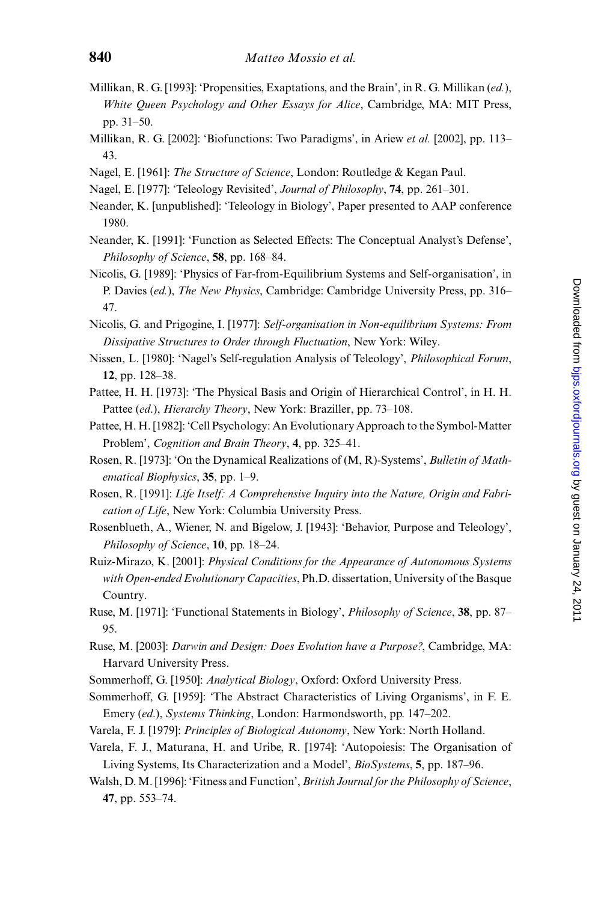- Millikan, R. G. [1993]: 'Propensities, Exaptations, and the Brain', in R. G. Millikan (*ed.*), *White Queen Psychology and Other Essays for Alice*, Cambridge, MA: MIT Press, pp. 31–50.
- Millikan, R. G. [2002]: 'Biofunctions: Two Paradigms', in Ariew *et al.* [2002], pp. 113– 43.
- Nagel, E. [1961]: *The Structure of Science*, London: Routledge & Kegan Paul.
- Nagel, E. [1977]: 'Teleology Revisited', *Journal of Philosophy*, **74**, pp. 261–301.
- Neander, K. [unpublished]: 'Teleology in Biology', Paper presented to AAP conference 1980.
- Neander, K. [1991]: 'Function as Selected Effects: The Conceptual Analyst's Defense', *Philosophy of Science*, **58**, pp. 168–84.
- Nicolis, G. [1989]: 'Physics of Far-from-Equilibrium Systems and Self-organisation', in P. Davies (*ed.*), *The New Physics*, Cambridge: Cambridge University Press, pp. 316– 47.
- Nicolis, G. and Prigogine, I. [1977]: *Self-organisation in Non-equilibrium Systems: From Dissipative Structures to Order through Fluctuation*, New York: Wiley.
- Nissen, L. [1980]: 'Nagel's Self-regulation Analysis of Teleology', *Philosophical Forum*, **12**, pp. 128–38.
- Pattee, H. H. [1973]: 'The Physical Basis and Origin of Hierarchical Control', in H. H. Pattee (*ed*.), *Hierarchy Theory*, New York: Braziller, pp. 73–108.
- Pattee, H. H. [1982]: 'Cell Psychology: An Evolutionary Approach to the Symbol-Matter Problem', *Cognition and Brain Theory*, **4**, pp. 325–41.
- Rosen, R. [1973]: 'On the Dynamical Realizations of (M, R)-Systems', *Bulletin of Mathematical Biophysics*, **35**, pp. 1–9.
- Rosen, R. [1991]: *Life Itself: A Comprehensive Inquiry into the Nature, Origin and Fabrication of Life*, New York: Columbia University Press.
- Rosenblueth, A., Wiener, N. and Bigelow, J. [1943]: 'Behavior, Purpose and Teleology', *Philosophy of Science*, **10**, pp. 18–24.
- Ruiz-Mirazo, K. [2001]: *Physical Conditions for the Appearance of Autonomous Systems with Open-ended Evolutionary Capacities*, Ph.D. dissertation, University of the Basque Country.
- Ruse, M. [1971]: 'Functional Statements in Biology', *Philosophy of Science*, **38**, pp. 87– 95.
- Ruse, M. [2003]: *Darwin and Design: Does Evolution have a Purpose?*, Cambridge, MA: Harvard University Press.
- Sommerhoff, G. [1950]: *Analytical Biology*, Oxford: Oxford University Press.
- Sommerhoff, G. [1959]: 'The Abstract Characteristics of Living Organisms', in F. E. Emery (*ed*.), *Systems Thinking*, London: Harmondsworth, pp. 147–202.
- Varela, F. J. [1979]: *Principles of Biological Autonomy*, New York: North Holland.
- Varela, F. J., Maturana, H. and Uribe, R. [1974]: 'Autopoiesis: The Organisation of Living Systems, Its Characterization and a Model', *BioSystems*, **5**, pp. 187–96.
- Walsh, D. M. [1996]: 'Fitness and Function', *British Journal for the Philosophy of Science*, **47**, pp. 553–74.